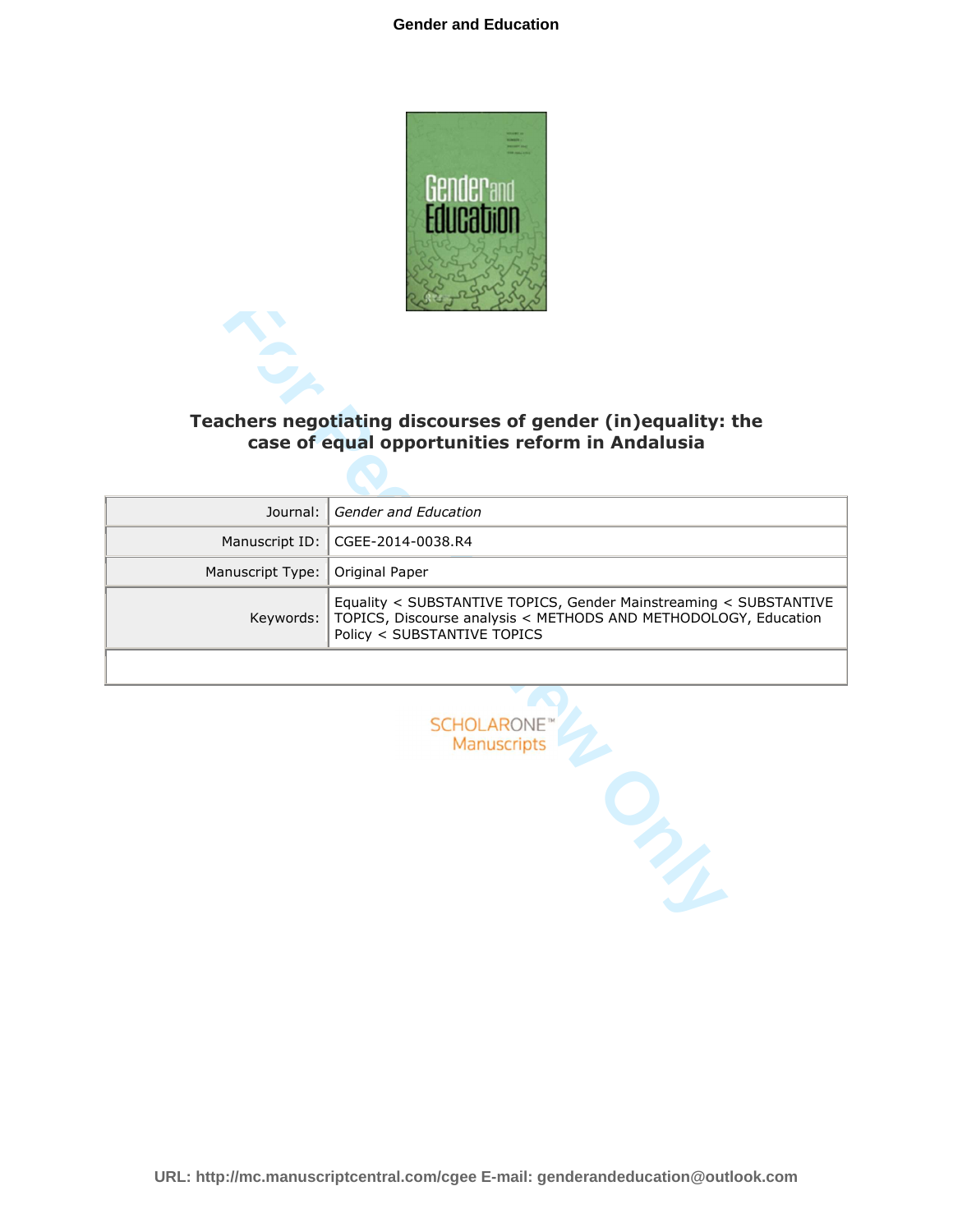

|                  | Teachers negotiating discourses of gender (in)equality: the<br>case of equal opportunities reform in Andalusia                                                      |
|------------------|---------------------------------------------------------------------------------------------------------------------------------------------------------------------|
|                  |                                                                                                                                                                     |
| Journal:         | Gender and Education                                                                                                                                                |
| Manuscript ID:   | CGEE-2014-0038.R4                                                                                                                                                   |
| Manuscript Type: | Original Paper                                                                                                                                                      |
| Keywords:        | Equality < SUBSTANTIVE TOPICS, Gender Mainstreaming < SUBSTANTIVE<br>TOPICS, Discourse analysis < METHODS AND METHODOLOGY, Education<br>Policy < SUBSTANTIVE TOPICS |
|                  |                                                                                                                                                                     |
|                  | <b>SCHOLARONE</b><br>Manuscripts                                                                                                                                    |
|                  |                                                                                                                                                                     |

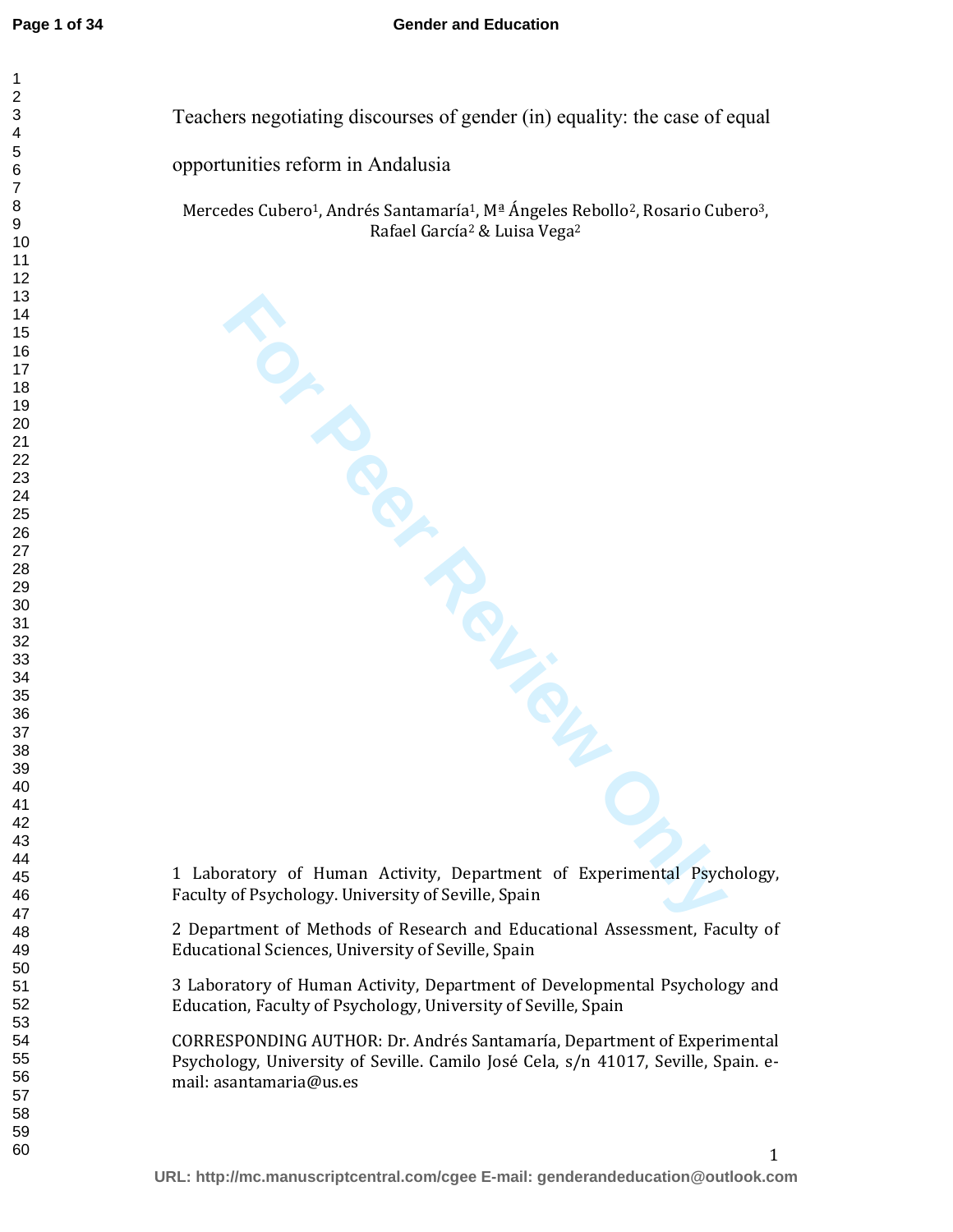Teachers negotiating discourses of gender (in) equality: the case of equal

opportunities reform in Andalusia

Mercedes Cubero<sup>1</sup>, Andrés Santamaría<sup>1</sup>, Mª Ángeles Rebollo<sup>2</sup>, Rosario Cubero<sup>3</sup>, Rafael García<sup>2</sup> & Luisa Vega<sup>2</sup>

**For Peychology. University, Department of Experimental Psychology. University of Seville, Spain** 1 Laboratory of Human Activity, Department of Experimental Psychology, Faculty of Psychology. University of Seville, Spain

2 Department of Methods of Research and Educational Assessment, Faculty of Educational Sciences, University of Seville, Spain

3 Laboratory of Human Activity, Department of Developmental Psychology and Education, Faculty of Psychology, University of Seville, Spain

CORRESPONDING AUTHOR: Dr. Andrés Santamaría, Department of Experimental Psychology, University of Seville. Camilo José Cela, s/n 41017, Seville, Spain. email: asantamaria@us.es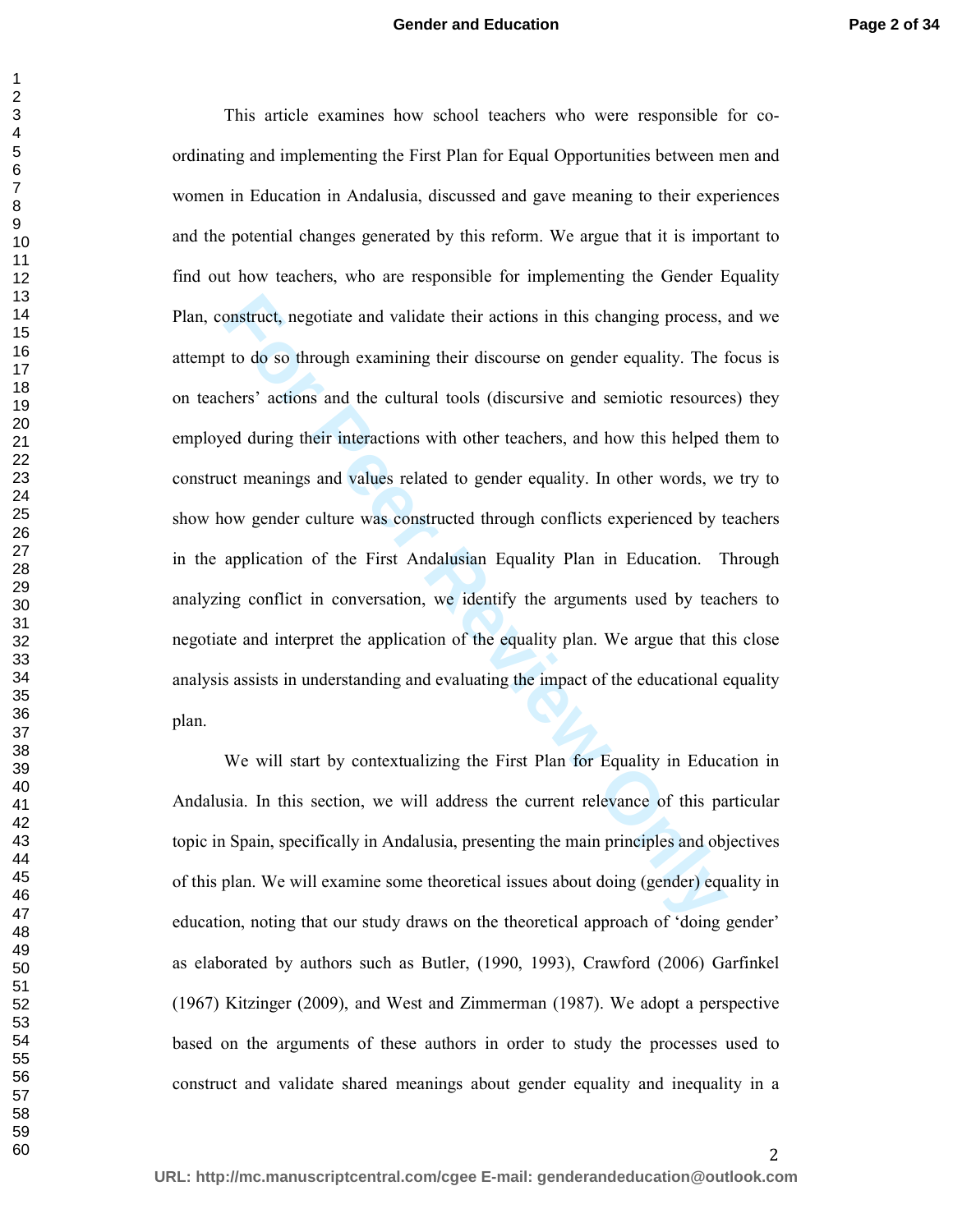onstruct, negotiate and validate their actions in this changing process,<br>to do so through examining their discourse on gender equality. The f<br>thens' actions and the cultural tools (discursive and semiotic resource<br>ed durin This article examines how school teachers who were responsible for coordinating and implementing the First Plan for Equal Opportunities between men and women in Education in Andalusia, discussed and gave meaning to their experiences and the potential changes generated by this reform. We argue that it is important to find out how teachers, who are responsible for implementing the Gender Equality Plan, construct, negotiate and validate their actions in this changing process, and we attempt to do so through examining their discourse on gender equality. The focus is on teachers' actions and the cultural tools (discursive and semiotic resources) they employed during their interactions with other teachers, and how this helped them to construct meanings and values related to gender equality. In other words, we try to show how gender culture was constructed through conflicts experienced by teachers in the application of the First Andalusian Equality Plan in Education. Through analyzing conflict in conversation, we identify the arguments used by teachers to negotiate and interpret the application of the equality plan. We argue that this close analysis assists in understanding and evaluating the impact of the educational equality plan.

We will start by contextualizing the First Plan for Equality in Education in Andalusia. In this section, we will address the current relevance of this particular topic in Spain, specifically in Andalusia, presenting the main principles and objectives of this plan. We will examine some theoretical issues about doing (gender) equality in education, noting that our study draws on the theoretical approach of 'doing gender' as elaborated by authors such as Butler, (1990, 1993), Crawford (2006) Garfinkel (1967) Kitzinger (2009), and West and Zimmerman (1987). We adopt a perspective based on the arguments of these authors in order to study the processes used to construct and validate shared meanings about gender equality and inequality in a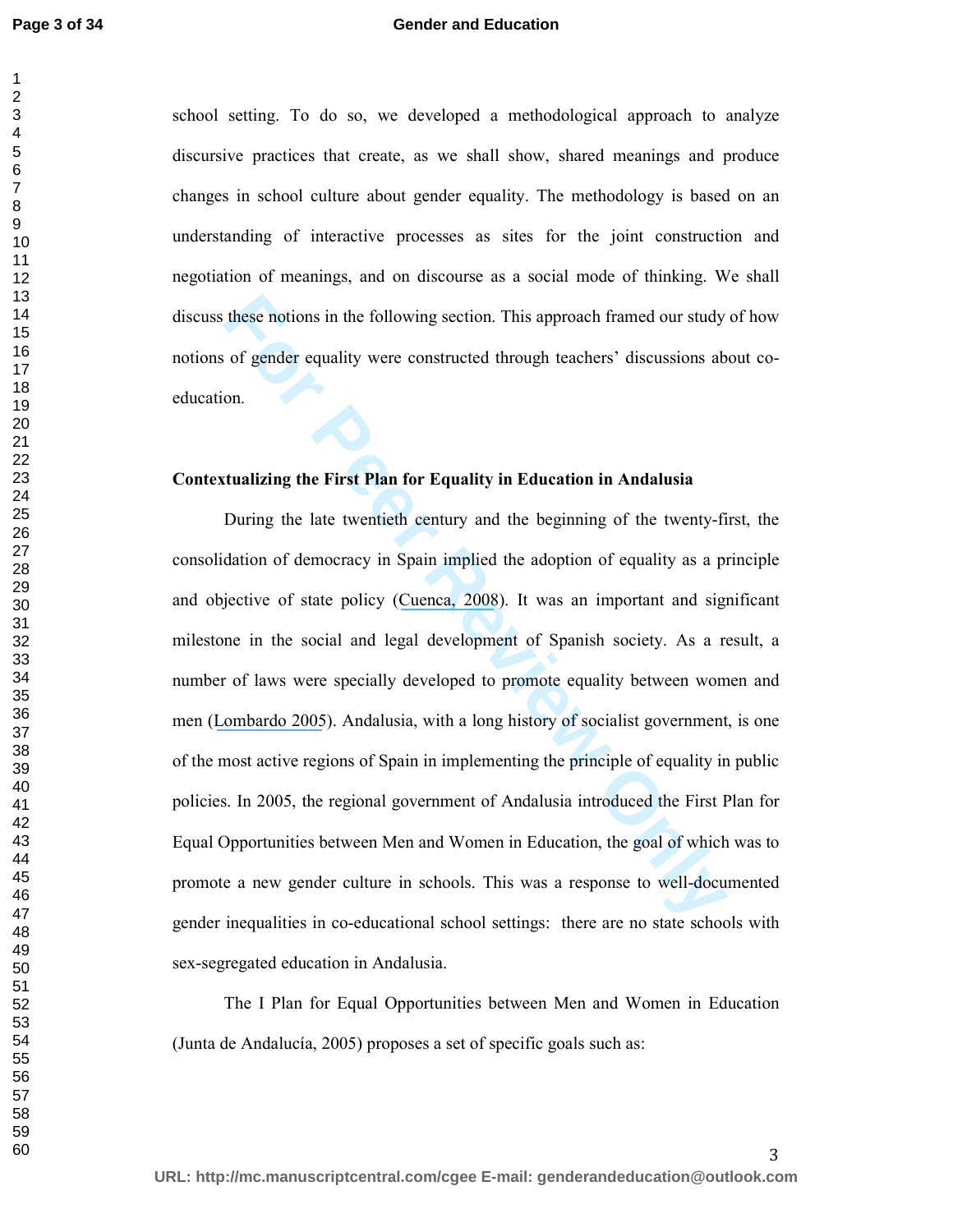#### **Gender and Education**

school setting. To do so, we developed a methodological approach to analyze discursive practices that create, as we shall show, shared meanings and produce changes in school culture about gender equality. The methodology is based on an understanding of interactive processes as sites for the joint construction and negotiation of meanings, and on discourse as a social mode of thinking. We shall discuss these notions in the following section. This approach framed our study of how notions of gender equality were constructed through teachers' discussions about coeducation.

#### **Contextualizing the First Plan for Equality in Education in Andalusia**

these notions in the following section. This approach framed our study<br>of gender equality were constructed through teachers' discussions ab<br>on.<br>**Etualizing the First Plan for Equality in Education in Andalusia**<br>During the During the late twentieth century and the beginning of the twenty-first, the consolidation of democracy in Spain implied the adoption of equality as a principle and objective of state policy (Cuenca, 2008). It was an important and significant milestone in the social and legal development of Spanish society. As a result, a number of laws were specially developed to promote equality between women and men ([Lombardo 2005](https://www.researchgate.net/publication/237293940_Integrating_or_Setting_the_Agenda_Gender_Mainstreaming_in_the_European_Constitution-Making_Process?el=1_x_8&enrichId=rgreq-18dbcbde78586745be6677a2184db5b4-XXX&enrichSource=Y292ZXJQYWdlOzI4MTA5MTMwMTtBUzoyNjQ3OTQwMTYwNTUyOTZAMTQ0MDE0MzIyMTIyNQ==)). Andalusia, with a long history of socialist government, is one of the most active regions of Spain in implementing the principle of equality in public policies. In 2005, the regional government of Andalusia introduced the First Plan for Equal Opportunities between Men and Women in Education, the goal of which was to promote a new gender culture in schools. This was a response to well-documented gender inequalities in co-educational school settings: there are no state schools with sex-segregated education in Andalusia.

The I Plan for Equal Opportunities between Men and Women in Education (Junta de Andalucía, 2005) proposes a set of specific goals such as: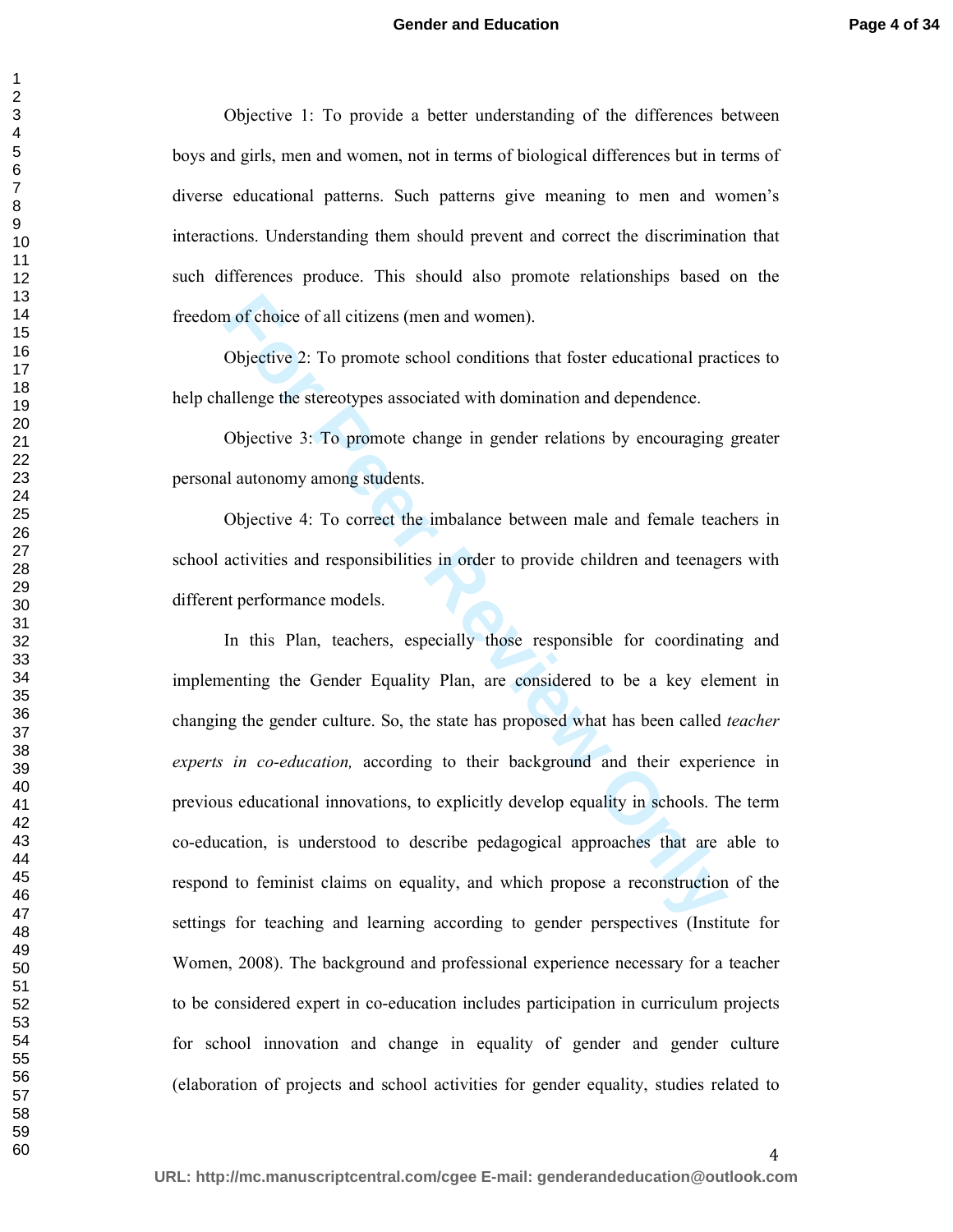Objective 1: To provide a better understanding of the differences between boys and girls, men and women, not in terms of biological differences but in terms of diverse educational patterns. Such patterns give meaning to men and women's interactions. Understanding them should prevent and correct the discrimination that such differences produce. This should also promote relationships based on the freedom of choice of all citizens (men and women).

Objective 2: To promote school conditions that foster educational practices to help challenge the stereotypes associated with domination and dependence.

Objective 3: To promote change in gender relations by encouraging greater personal autonomy among students.

Objective 4: To correct the imbalance between male and female teachers in school activities and responsibilities in order to provide children and teenagers with different performance models.

In of choice of all citizens (men and women).<br>
Objective 2: To promote school conditions that foster educational pracellenge the stereotypes associated with domination and dependence.<br>
Objective 3: To promote change in gen In this Plan, teachers, especially those responsible for coordinating and implementing the Gender Equality Plan, are considered to be a key element in changing the gender culture. So, the state has proposed what has been called *teacher experts in co-education,* according to their background and their experience in previous educational innovations, to explicitly develop equality in schools. The term co-education, is understood to describe pedagogical approaches that are able to respond to feminist claims on equality, and which propose a reconstruction of the settings for teaching and learning according to gender perspectives (Institute for Women, 2008). The background and professional experience necessary for a teacher to be considered expert in co-education includes participation in curriculum projects for school innovation and change in equality of gender and gender culture (elaboration of projects and school activities for gender equality, studies related to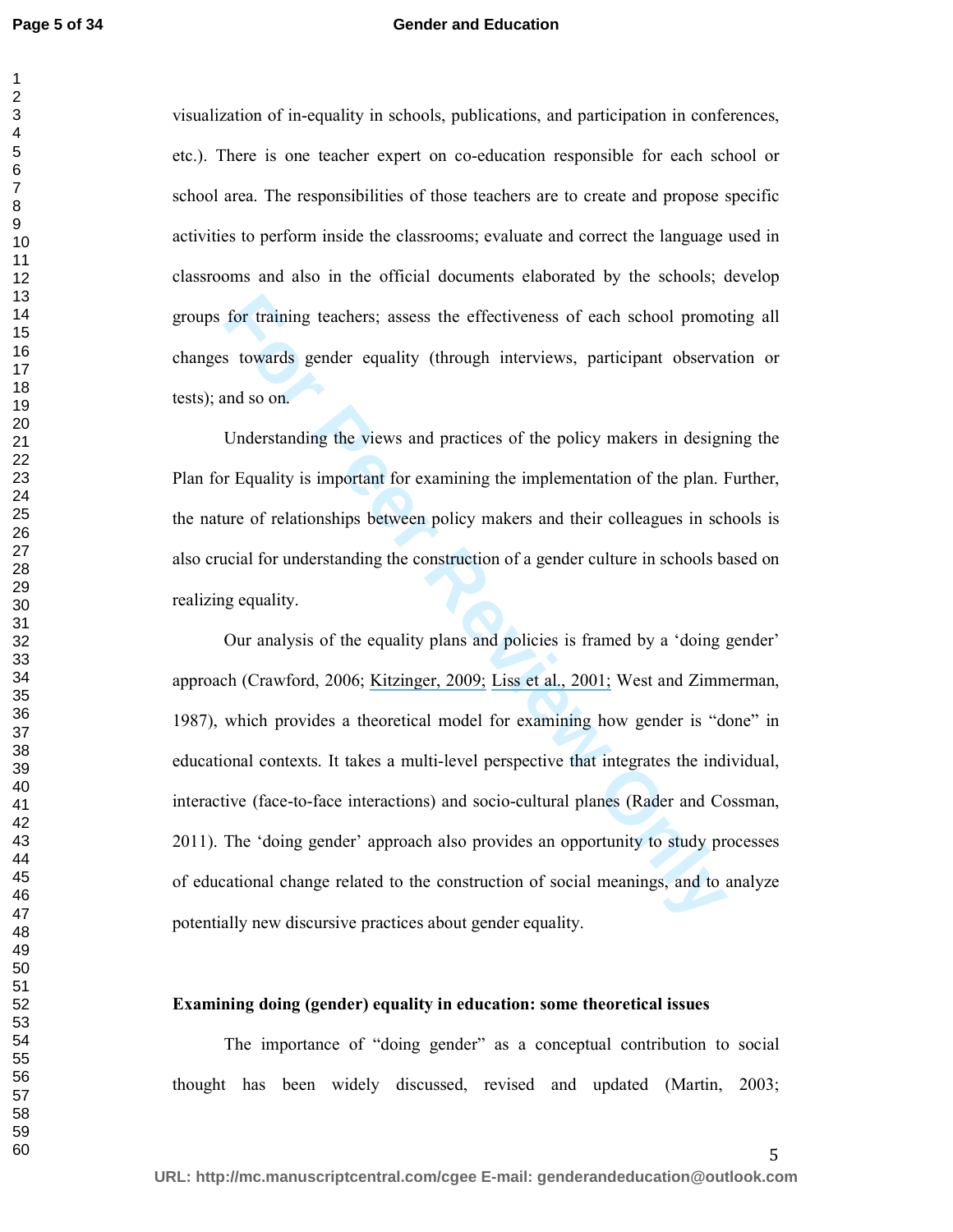#### **Gender and Education**

visualization of in-equality in schools, publications, and participation in conferences, etc.). There is one teacher expert on co-education responsible for each school or school area. The responsibilities of those teachers are to create and propose specific activities to perform inside the classrooms; evaluate and correct the language used in classrooms and also in the official documents elaborated by the schools; develop groups for training teachers; assess the effectiveness of each school promoting all changes towards gender equality (through interviews, participant observation or tests); and so on.

Understanding the views and practices of the policy makers in designing the Plan for Equality is important for examining the implementation of the plan. Further, the nature of relationships between policy makers and their colleagues in schools is also crucial for understanding the construction of a gender culture in schools based on realizing equality.

for training teachers; assess the effectiveness of each school promo<br>s towards gender equality (through inter[vie](https://www.researchgate.net/publication/227510110_What_Makes_a_Feminist_Predictors_and_Correlates_of_Feminist_Social_Identity_in_College_Women?el=1_x_8&enrichId=rgreq-18dbcbde78586745be6677a2184db5b4-XXX&enrichSource=Y292ZXJQYWdlOzI4MTA5MTMwMTtBUzoyNjQ3OTQwMTYwNTUyOTZAMTQ0MDE0MzIyMTIyNQ==)ws, participant observa<br>and so on.<br>Understanding the views and practices of the policy makers in design<br>r Equa Our analysis of the equality plans and policies is framed by a 'doing gender' approach (Crawford, 2006; Kitzinger, 2009; Liss et al., 2001; West and Zimmerman, 1987), which provides a theoretical model for examining how gender is "done" in educational contexts. It takes a multi-level perspective that integrates the individual, interactive (face-to-face interactions) and socio-cultural planes (Rader and Cossman, 2011). The 'doing gender' approach also provides an opportunity to study processes of educational change related to the construction of social meanings, and to analyze potentially new discursive practices about gender equality.

#### **Examining doing (gender) equality in education: some theoretical issues**

The importance of "doing gender" as a conceptual contribution to social thought has been widely discussed, revised and updated (Martin, 2003;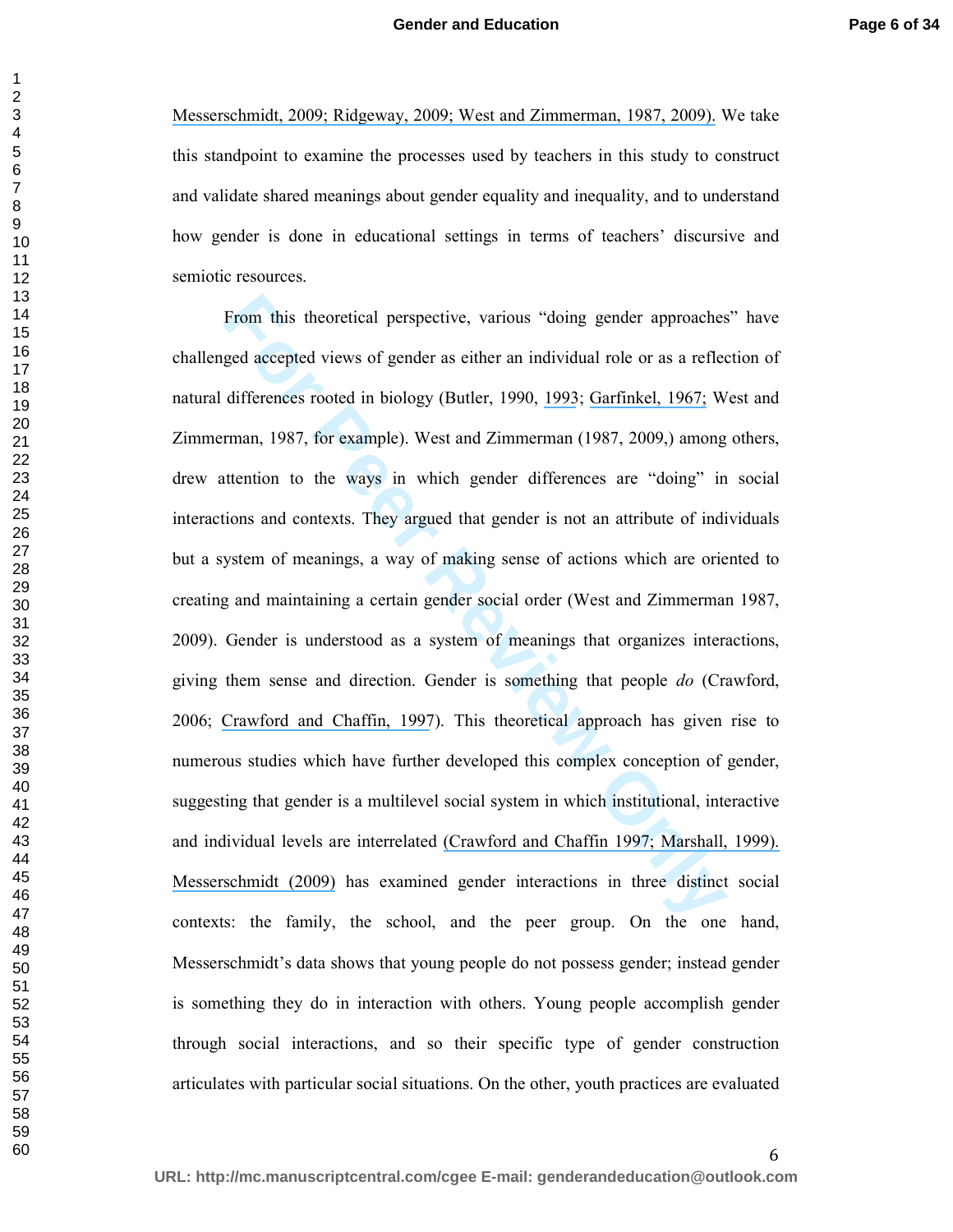[Messerschmidt](https://www.researchgate.net/publication/249668421_Doing_GenderThe_Impact_and_Future_of_a_Salient_Sociological_Concept?el=1_x_8&enrichId=rgreq-18dbcbde78586745be6677a2184db5b4-XXX&enrichSource=Y292ZXJQYWdlOzI4MTA5MTMwMTtBUzoyNjQ3OTQwMTYwNTUyOTZAMTQ0MDE0MzIyMTIyNQ==)[, 2009;](https://www.researchgate.net/publication/240696476_Doing_GenderA_Conversation_Analytic_Perspective?el=1_x_8&enrichId=rgreq-18dbcbde78586745be6677a2184db5b4-XXX&enrichSource=Y292ZXJQYWdlOzI4MTA5MTMwMTtBUzoyNjQ3OTQwMTYwNTUyOTZAMTQ0MDE0MzIyMTIyNQ==) [Ridgeway, 2009; West and Zimmerman, 1987, 2009\).](https://www.researchgate.net/publication/249668421_Doing_GenderThe_Impact_and_Future_of_a_Salient_Sociological_Concept?el=1_x_8&enrichId=rgreq-18dbcbde78586745be6677a2184db5b4-XXX&enrichSource=Y292ZXJQYWdlOzI4MTA5MTMwMTtBUzoyNjQ3OTQwMTYwNTUyOTZAMTQ0MDE0MzIyMTIyNQ==) We take this standpoint to examine the processes used by teachers in this study to construct and validate shared meanings about gender equality and inequality, and to understand how gender is done in educational settings in terms of teachers' discursive and semiotic resources.

From this theoretical perspective, various "doing gender approachessed accepted views of gender as either an individual role or as a refleed differences rooted in biology (Butler, 1990, 1<u>993; Garfinkel, 1967;</u> Wman, 1987, From this theoretical perspective, various "doing gender approaches" have challenged accepted views of gender as either an individual role or as a reflection of natural differences rooted in biology (Butler, 1990, 1993; Garfinkel, 1967; West and Zimmerman, 1987, for example). West and Zimmerman (1987, 2009,) among others, drew attention to the ways in which gender differences are "doing" in social interactions and contexts. They argued that gender is not an attribute of individuals but a system of meanings, a way of making sense of actions which are oriented to creating and maintaining a certain gender social order (West and Zimmerman 1987, 2009). Gender is understood as a system of meanings that organizes interactions, giving them sense and direction. Gender is something that people *do* (Crawford, 2006; [Crawford and Chaffin, 1997](https://www.researchgate.net/publication/288482953_The_Meanings_of_Difference_Cognition_in_Social_and_Cultural_Context?el=1_x_8&enrichId=rgreq-18dbcbde78586745be6677a2184db5b4-XXX&enrichSource=Y292ZXJQYWdlOzI4MTA5MTMwMTtBUzoyNjQ3OTQwMTYwNTUyOTZAMTQ0MDE0MzIyMTIyNQ==)). This theoretical approach has given rise to numerous studies which have further developed this complex conception of gender, suggesting that gender is a multilevel social system in which institutional, interactive and individual levels are interrelated [\(Crawford and Chaffin 1997; Marshall, 1999\).](https://www.researchgate.net/publication/232840810_Doing_Gender_in_Management_Education?el=1_x_8&enrichId=rgreq-18dbcbde78586745be6677a2184db5b4-XXX&enrichSource=Y292ZXJQYWdlOzI4MTA5MTMwMTtBUzoyNjQ3OTQwMTYwNTUyOTZAMTQ0MDE0MzIyMTIyNQ==)  [Messerschmidt \(2009\)](https://www.researchgate.net/publication/249668421_Doing_GenderThe_Impact_and_Future_of_a_Salient_Sociological_Concept?el=1_x_8&enrichId=rgreq-18dbcbde78586745be6677a2184db5b4-XXX&enrichSource=Y292ZXJQYWdlOzI4MTA5MTMwMTtBUzoyNjQ3OTQwMTYwNTUyOTZAMTQ0MDE0MzIyMTIyNQ==) has examined gender interactions in three distinct social contexts: the family, the school, and the peer group. On the one hand, Messerschmidt's data shows that young people do not possess gender; instead gender is something they do in interaction with others. Young people accomplish gender through social interactions, and so their specific type of gender construction articulates with particular social situations. On the other, youth practices are evaluated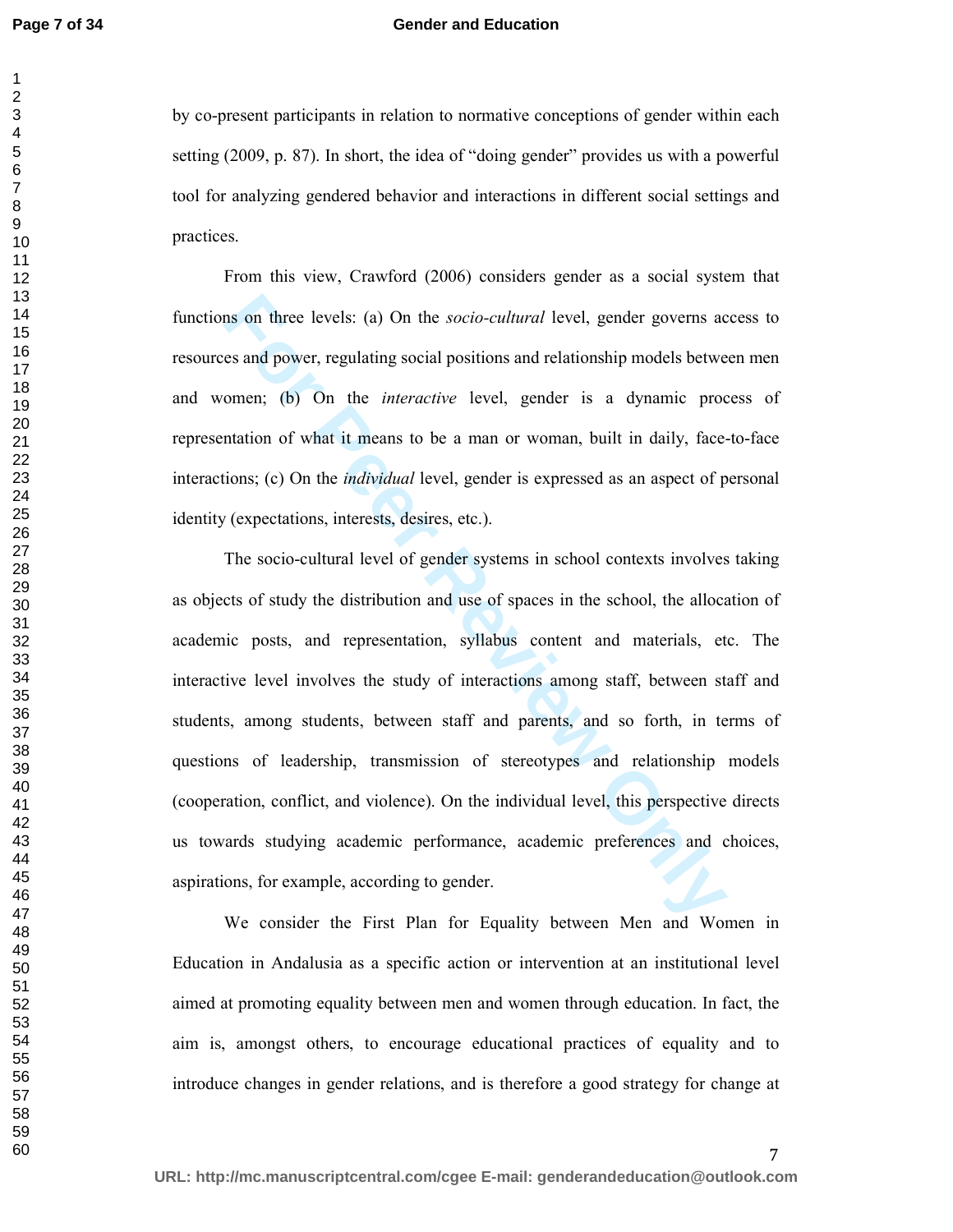#### **Gender and Education**

by co-present participants in relation to normative conceptions of gender within each setting (2009, p. 87). In short, the idea of "doing gender" provides us with a powerful tool for analyzing gendered behavior and interactions in different social settings and practices.

From this view, Crawford (2006) considers gender as a social system that functions on three levels: (a) On the *socio-cultural* level, gender governs access to resources and power, regulating social positions and relationship models between men and women; (b) On the *interactive* level, gender is a dynamic process of representation of what it means to be a man or woman, built in daily, face-to-face interactions; (c) On the *individual* level, gender is expressed as an aspect of personal identity (expectations, interests, desires, etc.).

In son three levels: (a) On the *socio-cultural* level, gender governs aces and power, regulating social positions and relationship models betwe omen; (b) On the *interactive* level, gender is a dynamic procentation of wha The socio-cultural level of gender systems in school contexts involves taking as objects of study the distribution and use of spaces in the school, the allocation of academic posts, and representation, syllabus content and materials, etc. The interactive level involves the study of interactions among staff, between staff and students, among students, between staff and parents, and so forth, in terms of questions of leadership, transmission of stereotypes and relationship models (cooperation, conflict, and violence). On the individual level, this perspective directs us towards studying academic performance, academic preferences and choices, aspirations, for example, according to gender.

We consider the First Plan for Equality between Men and Women in Education in Andalusia as a specific action or intervention at an institutional level aimed at promoting equality between men and women through education. In fact, the aim is, amongst others, to encourage educational practices of equality and to introduce changes in gender relations, and is therefore a good strategy for change at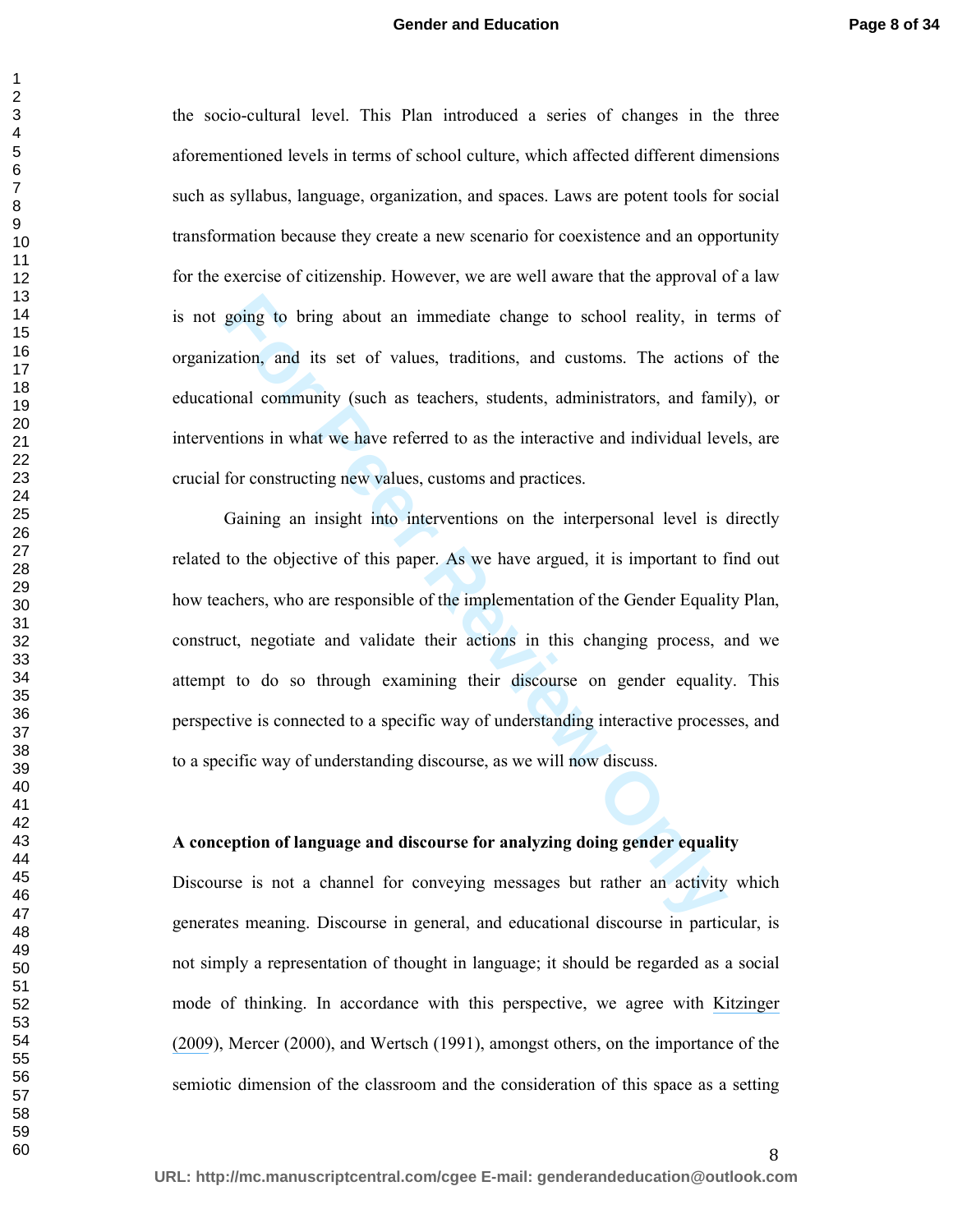#### **Gender and Education**

the socio-cultural level. This Plan introduced a series of changes in the three aforementioned levels in terms of school culture, which affected different dimensions such as syllabus, language, organization, and spaces. Laws are potent tools for social transformation because they create a new scenario for coexistence and an opportunity for the exercise of citizenship. However, we are well aware that the approval of a law is not going to bring about an immediate change to school reality, in terms of organization, and its set of values, traditions, and customs. The actions of the educational community (such as teachers, students, administrators, and family), or interventions in what we have referred to as the interactive and individual levels, are crucial for constructing new values, customs and practices.

going to bring about an immediate change to school reality, in textion, and its set of values, traditions, and customs. The actions onal community (such as teachers, students, administrators, and familions in what we have Gaining an insight into interventions on the interpersonal level is directly related to the objective of this paper. As we have argued, it is important to find out how teachers, who are responsible of the implementation of the Gender Equality Plan, construct, negotiate and validate their actions in this changing process, and we attempt to do so through examining their discourse on gender equality. This perspective is connected to a specific way of understanding interactive processes, and to a specific way of understanding discourse, as we will now discuss.

#### **A conception of language and discourse for analyzing doing gender equality**

Discourse is not a channel for conveying messages but rather an activity which generates meaning. Discourse in general, and educational discourse in particular, is not simply a representation of thought in language; it should be regarded as a social mode of thinking. In accordance with this perspective, we agree with [Kitzinger](https://www.researchgate.net/publication/240696476_Doing_GenderA_Conversation_Analytic_Perspective?el=1_x_8&enrichId=rgreq-18dbcbde78586745be6677a2184db5b4-XXX&enrichSource=Y292ZXJQYWdlOzI4MTA5MTMwMTtBUzoyNjQ3OTQwMTYwNTUyOTZAMTQ0MDE0MzIyMTIyNQ==)  [\(2009](https://www.researchgate.net/publication/240696476_Doing_GenderA_Conversation_Analytic_Perspective?el=1_x_8&enrichId=rgreq-18dbcbde78586745be6677a2184db5b4-XXX&enrichSource=Y292ZXJQYWdlOzI4MTA5MTMwMTtBUzoyNjQ3OTQwMTYwNTUyOTZAMTQ0MDE0MzIyMTIyNQ==)), Mercer (2000), and Wertsch (1991), amongst others, on the importance of the semiotic dimension of the classroom and the consideration of this space as a setting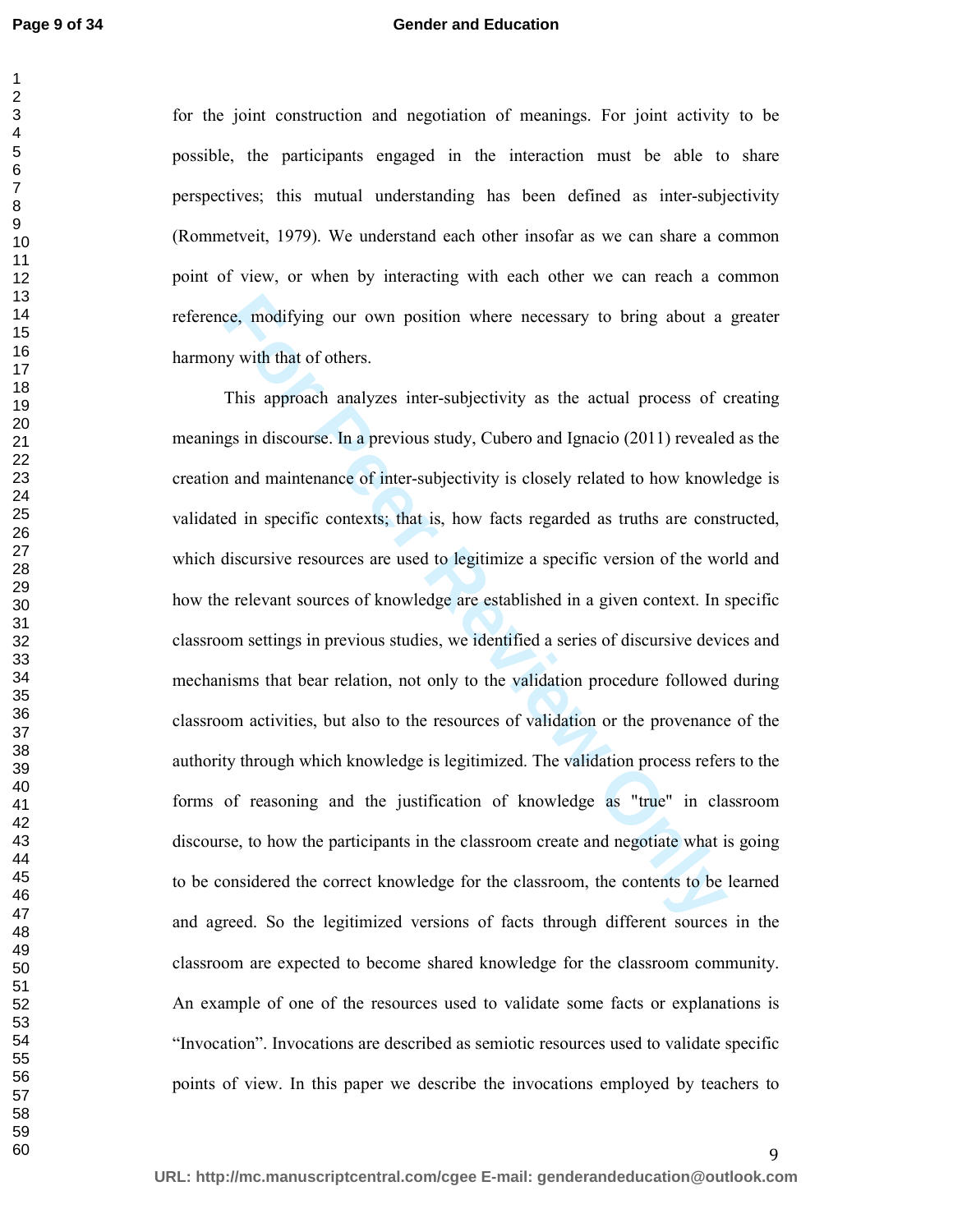#### **Gender and Education**

for the joint construction and negotiation of meanings. For joint activity to be possible, the participants engaged in the interaction must be able to share perspectives; this mutual understanding has been defined as inter-subjectivity (Rommetveit, 1979). We understand each other insofar as we can share a common point of view, or when by interacting with each other we can reach a common reference, modifying our own position where necessary to bring about a greater harmony with that of others.

ce, modifying our own position where necessary to bring about a<br>y with that of others.<br>This approach analyzes inter-subjectivity as the actual process of c<br>gs in discourse. In a previous study, Cubero and Ignacio (2011) re This approach analyzes inter-subjectivity as the actual process of creating meanings in discourse. In a previous study, Cubero and Ignacio (2011) revealed as the creation and maintenance of inter-subjectivity is closely related to how knowledge is validated in specific contexts; that is, how facts regarded as truths are constructed, which discursive resources are used to legitimize a specific version of the world and how the relevant sources of knowledge are established in a given context. In specific classroom settings in previous studies, we identified a series of discursive devices and mechanisms that bear relation, not only to the validation procedure followed during classroom activities, but also to the resources of validation or the provenance of the authority through which knowledge is legitimized. The validation process refers to the forms of reasoning and the justification of knowledge as "true" in classroom discourse, to how the participants in the classroom create and negotiate what is going to be considered the correct knowledge for the classroom, the contents to be learned and agreed. So the legitimized versions of facts through different sources in the classroom are expected to become shared knowledge for the classroom community. An example of one of the resources used to validate some facts or explanations is "Invocation". Invocations are described as semiotic resources used to validate specific points of view. In this paper we describe the invocations employed by teachers to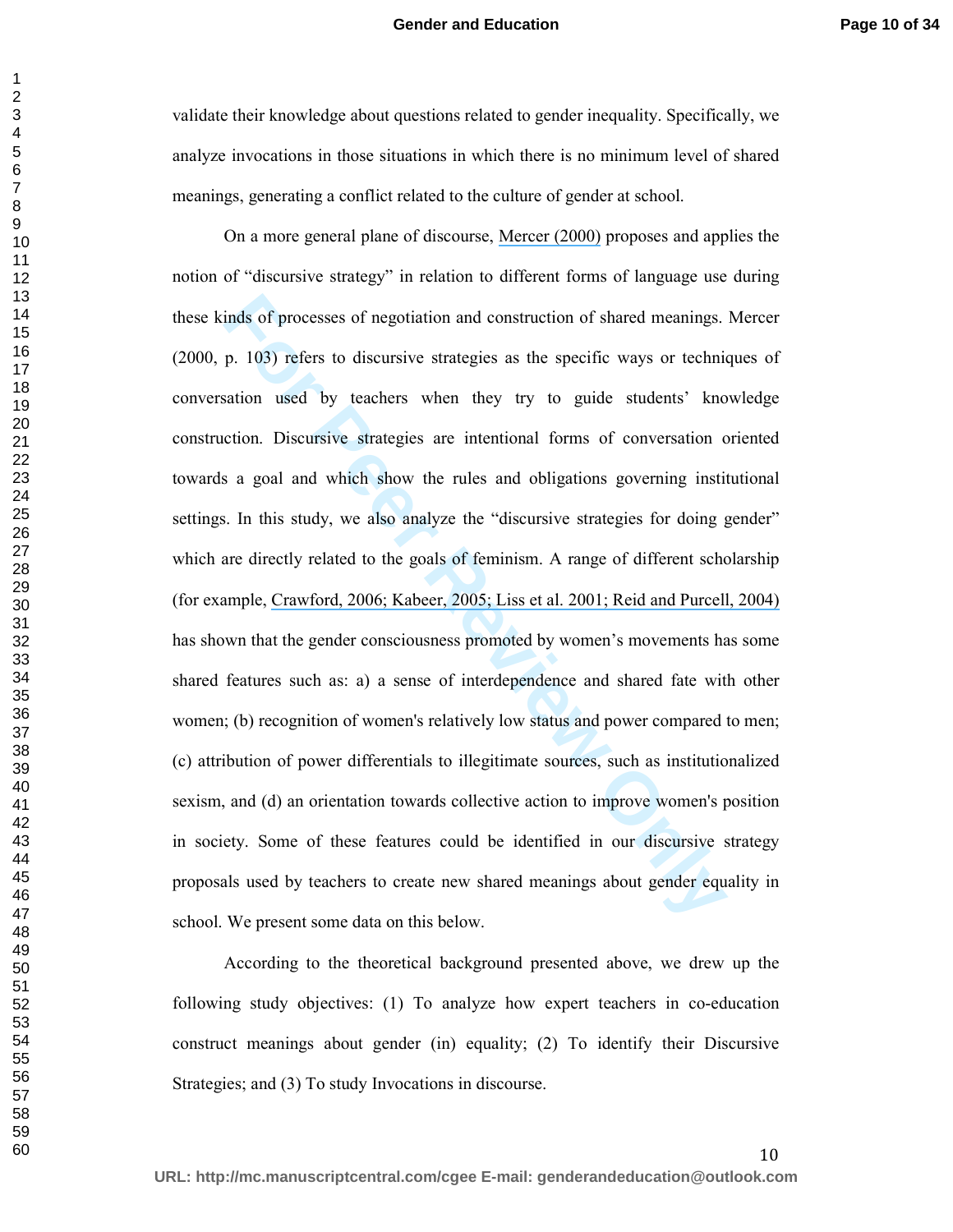validate their knowledge about questions related to gender inequality. Specifically, we analyze invocations in those situations in which there is no minimum level of shared meanings, generating a conflict related to the culture of gender at school.

inds of processes of negotiation and construction of shared meanings.<br>
p. 103) refers to discursive strategies as the specific ways or technication used by teachers when they try to guide students' kno<br>
ection. Discursive On a more general plane of discourse, [Mercer \(2000\)](https://www.researchgate.net/publication/237132634_Words_and_Minds_How_We_Use_Language_to_Think_Together?el=1_x_8&enrichId=rgreq-18dbcbde78586745be6677a2184db5b4-XXX&enrichSource=Y292ZXJQYWdlOzI4MTA5MTMwMTtBUzoyNjQ3OTQwMTYwNTUyOTZAMTQ0MDE0MzIyMTIyNQ==) proposes and applies the notion of "discursive strategy" in relation to different forms of language use during these kinds of processes of negotiation and construction of shared meanings. Mercer (2000, p. 103) refers to discursive strategies as the specific ways or techniques of conversation used by teachers when they try to guide students' knowledge construction. Discursive strategies are intentional forms of conversation oriented towards a goal and which show the rules and obligations governing institutional settings. In this study, we also analyze the "discursive strategies for doing gender" which are directly related to the goals of feminism. A range of different scholarship (for example, [Crawford, 2006; Kabeer, 2005; Liss et al. 2001; Reid and Purcell, 2004\)](https://www.researchgate.net/publication/226844336_Pathways_to_Feminist_Identification?el=1_x_8&enrichId=rgreq-18dbcbde78586745be6677a2184db5b4-XXX&enrichSource=Y292ZXJQYWdlOzI4MTA5MTMwMTtBUzoyNjQ3OTQwMTYwNTUyOTZAMTQ0MDE0MzIyMTIyNQ==)  has shown that the gender consciousness promoted by women's movements has some shared features such as: a) a sense of interdependence and shared fate with other women; (b) recognition of women's relatively low status and power compared to men; (c) attribution of power differentials to illegitimate sources, such as institutionalized sexism, and (d) an orientation towards collective action to improve women's position in society. Some of these features could be identified in our discursive strategy proposals used by teachers to create new shared meanings about gender equality in school. We present some data on this below.

According to the theoretical background presented above, we drew up the following study objectives: (1) To analyze how expert teachers in co-education construct meanings about gender (in) equality; (2) To identify their Discursive Strategies; and (3) To study Invocations in discourse.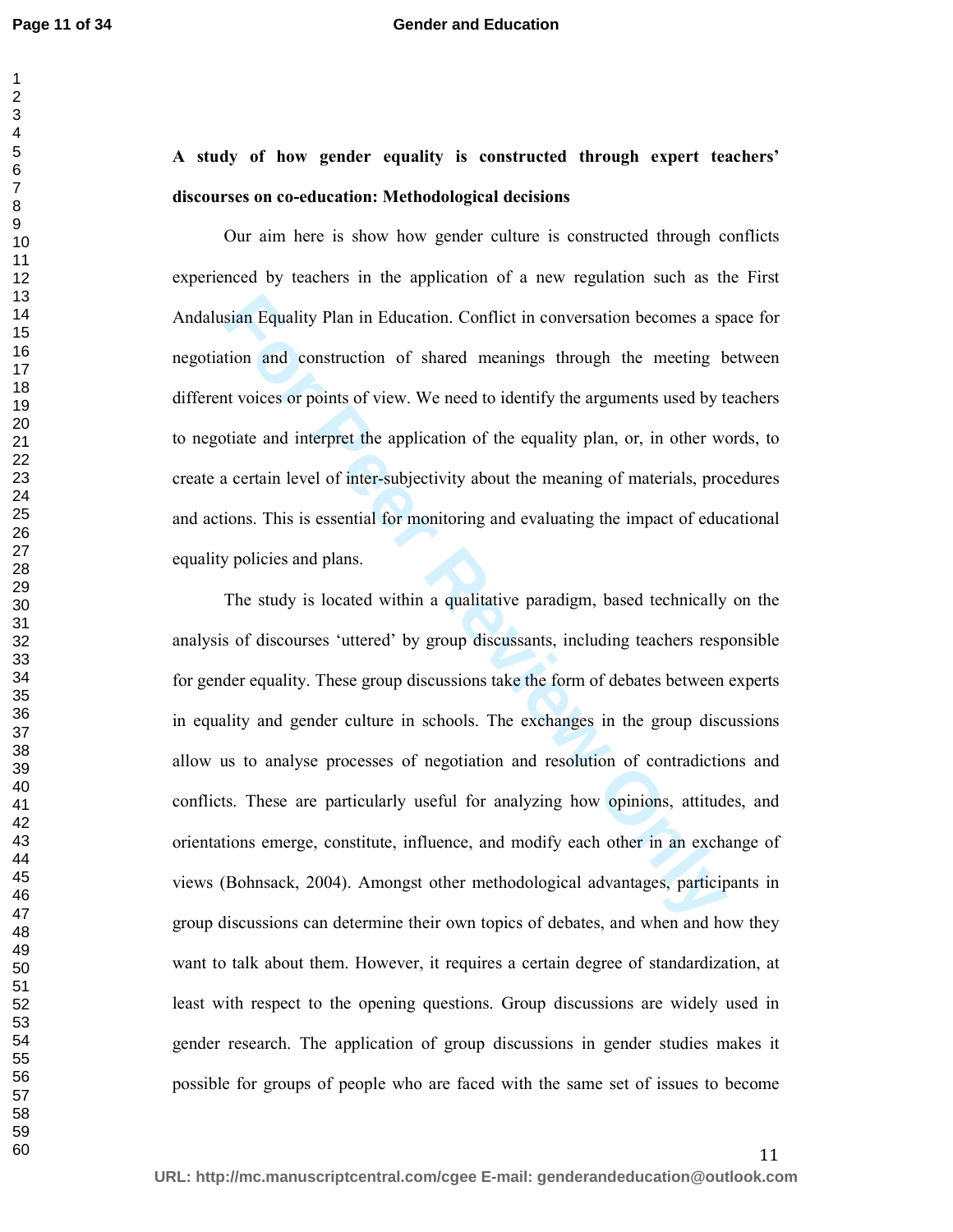#### **Gender and Education**

### **A study of how gender equality is constructed through expert teachers' discourses on co-education: Methodological decisions**

Our aim here is show how gender culture is constructed through conflicts experienced by teachers in the application of a new regulation such as the First Andalusian Equality Plan in Education. Conflict in conversation becomes a space for negotiation and construction of shared meanings through the meeting between different voices or points of view. We need to identify the arguments used by teachers to negotiate and interpret the application of the equality plan, or, in other words, to create a certain level of inter-subjectivity about the meaning of materials, procedures and actions. This is essential for monitoring and evaluating the impact of educational equality policies and plans.

sian Equality Plan in Education. Conflict in conversation becomes a sp<br>tion and construction of shared meanings through the meeting b<br>at voices or points of view. We need to identify the arguments used by to<br>tiate and inte The study is located within a qualitative paradigm, based technically on the analysis of discourses 'uttered' by group discussants, including teachers responsible for gender equality. These group discussions take the form of debates between experts in equality and gender culture in schools. The exchanges in the group discussions allow us to analyse processes of negotiation and resolution of contradictions and conflicts. These are particularly useful for analyzing how opinions, attitudes, and orientations emerge, constitute, influence, and modify each other in an exchange of views (Bohnsack, 2004). Amongst other methodological advantages, participants in group discussions can determine their own topics of debates, and when and how they want to talk about them. However, it requires a certain degree of standardization, at least with respect to the opening questions. Group discussions are widely used in gender research. The application of group discussions in gender studies makes it possible for groups of people who are faced with the same set of issues to become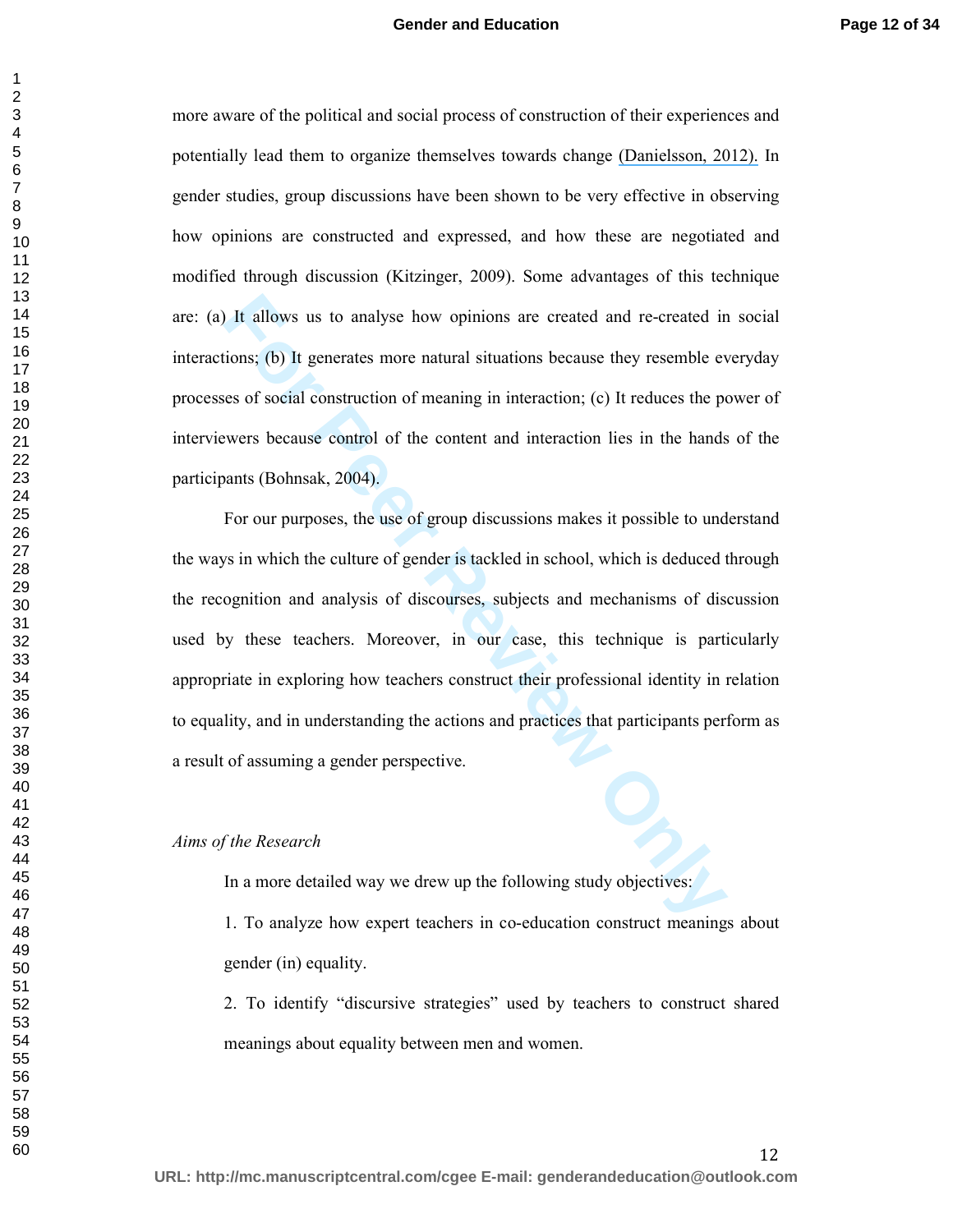#### **Gender and Education**

more aware of the political and social process of construction of their experiences and potentially lead them to organize themselves towards change [\(Danielsson, 2012\).](https://www.researchgate.net/publication/232816573_Exploring_woman_university_physics_students_) In gender studies, group discussions have been shown to be very effective in observing how opinions are constructed and expressed, and how these are negotiated and modified through discussion (Kitzinger, 2009). Some advantages of this technique are: (a) It allows us to analyse how opinions are created and re-created in social interactions; (b) It generates more natural situations because they resemble everyday processes of social construction of meaning in interaction; (c) It reduces the power of interviewers because control of the content and interaction lies in the hands of the participants (Bohnsak, 2004).

It allows us to analyse how opinions are created and re-created in<br>tions; (b) It generates more natural situations because they resemble ever<br>ses of social construction of meaning in interaction; (c) It reduces the p<br>ewers For our purposes, the use of group discussions makes it possible to understand the ways in which the culture of gender is tackled in school, which is deduced through the recognition and analysis of discourses, subjects and mechanisms of discussion used by these teachers. Moreover, in our case, this technique is particularly appropriate in exploring how teachers construct their professional identity in relation to equality, and in understanding the actions and practices that participants perform as a result of assuming a gender perspective.

#### *Aims of the Research*

In a more detailed way we drew up the following study objectives:

1. To analyze how expert teachers in co-education construct meanings about gender (in) equality.

2. To identify "discursive strategies" used by teachers to construct shared meanings about equality between men and women.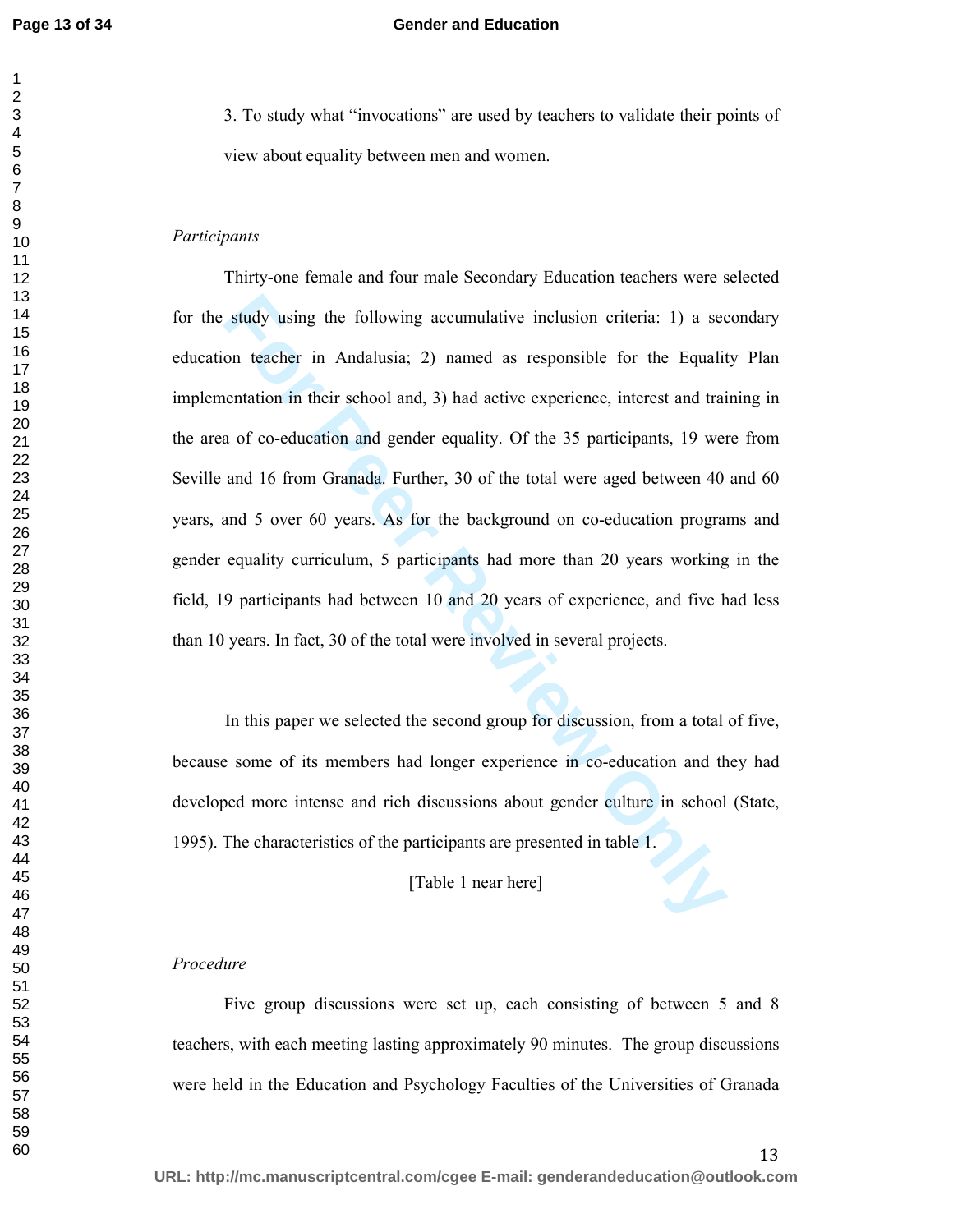#### **Gender and Education**

3. To study what "invocations" are used by teachers to validate their points of view about equality between men and women.

#### *Participants*

study using the following accumulative inclusion criteria: 1) a second teacher in Andalusia; 2) named as responsible for the Equalition in their school and, 3) had active experience, interest and trained a of co-education Thirty-one female and four male Secondary Education teachers were selected for the study using the following accumulative inclusion criteria: 1) a secondary education teacher in Andalusia; 2) named as responsible for the Equality Plan implementation in their school and, 3) had active experience, interest and training in the area of co-education and gender equality. Of the 35 participants, 19 were from Seville and 16 from Granada. Further, 30 of the total were aged between 40 and 60 years, and 5 over 60 years. As for the background on co-education programs and gender equality curriculum, 5 participants had more than 20 years working in the field, 19 participants had between 10 and 20 years of experience, and five had less than 10 years. In fact, 30 of the total were involved in several projects.

In this paper we selected the second group for discussion, from a total of five, because some of its members had longer experience in co-education and they had developed more intense and rich discussions about gender culture in school (State, 1995). The characteristics of the participants are presented in table 1.

[Table 1 near here]

#### *Procedure*

Five group discussions were set up, each consisting of between 5 and 8 teachers, with each meeting lasting approximately 90 minutes. The group discussions were held in the Education and Psychology Faculties of the Universities of Granada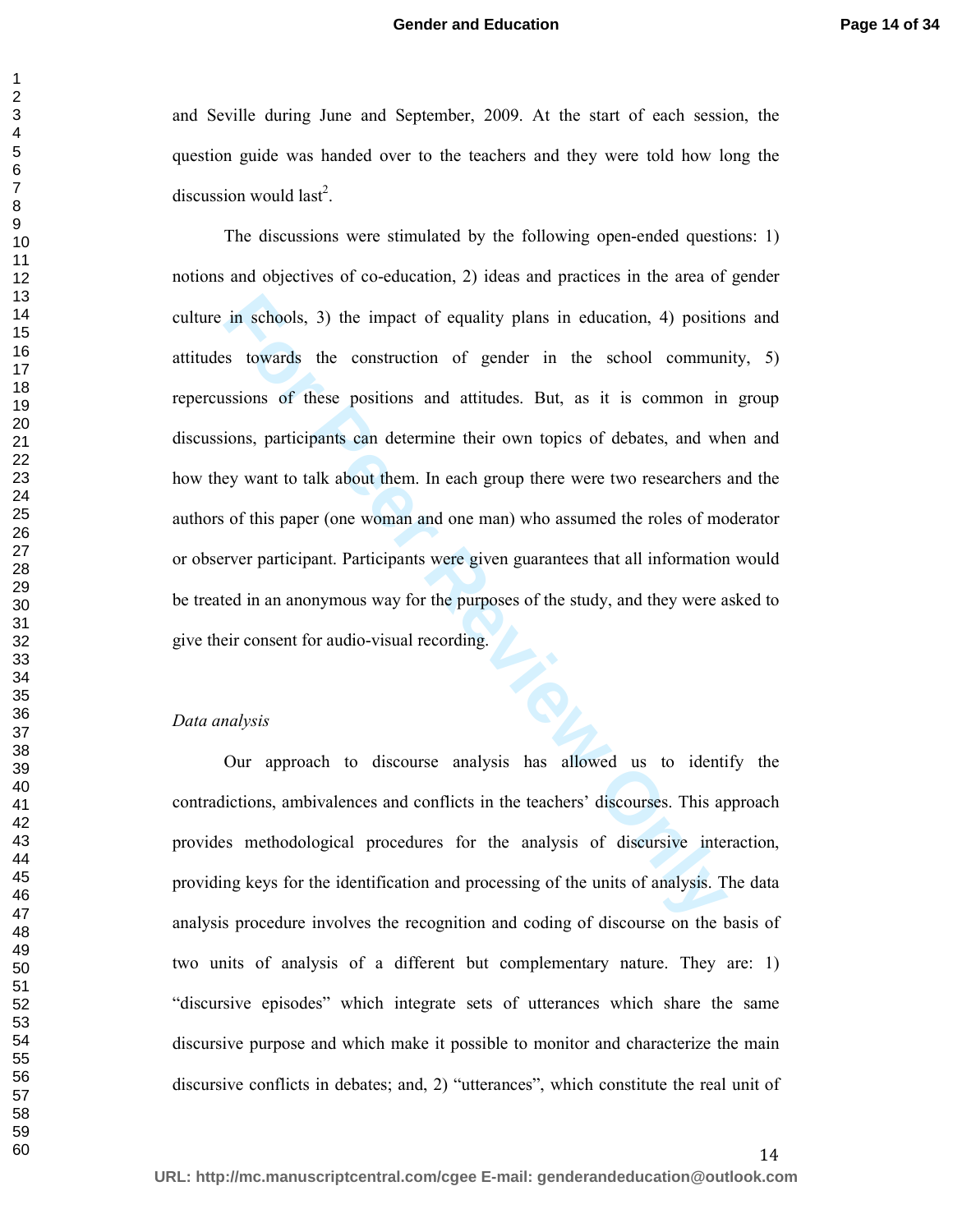and Seville during June and September, 2009. At the start of each session, the question guide was handed over to the teachers and they were told how long the discussion would last<sup>2</sup>.

in schools, 3) the impact of equality plans in education, 4) positic<br>s towards the construction of gender in the school commun<br>sisions of these positions and attitudes. But, as it is common in<br>ions, participants can determ The discussions were stimulated by the following open-ended questions: 1) notions and objectives of co-education, 2) ideas and practices in the area of gender culture in schools, 3) the impact of equality plans in education, 4) positions and attitudes towards the construction of gender in the school community, 5) repercussions of these positions and attitudes. But, as it is common in group discussions, participants can determine their own topics of debates, and when and how they want to talk about them. In each group there were two researchers and the authors of this paper (one woman and one man) who assumed the roles of moderator or observer participant. Participants were given guarantees that all information would be treated in an anonymous way for the purposes of the study, and they were asked to give their consent for audio-visual recording.

#### *Data analysis*

Our approach to discourse analysis has allowed us to identify the contradictions, ambivalences and conflicts in the teachers' discourses. This approach provides methodological procedures for the analysis of discursive interaction, providing keys for the identification and processing of the units of analysis. The data analysis procedure involves the recognition and coding of discourse on the basis of two units of analysis of a different but complementary nature. They are: 1) "discursive episodes" which integrate sets of utterances which share the same discursive purpose and which make it possible to monitor and characterize the main discursive conflicts in debates; and, 2) "utterances", which constitute the real unit of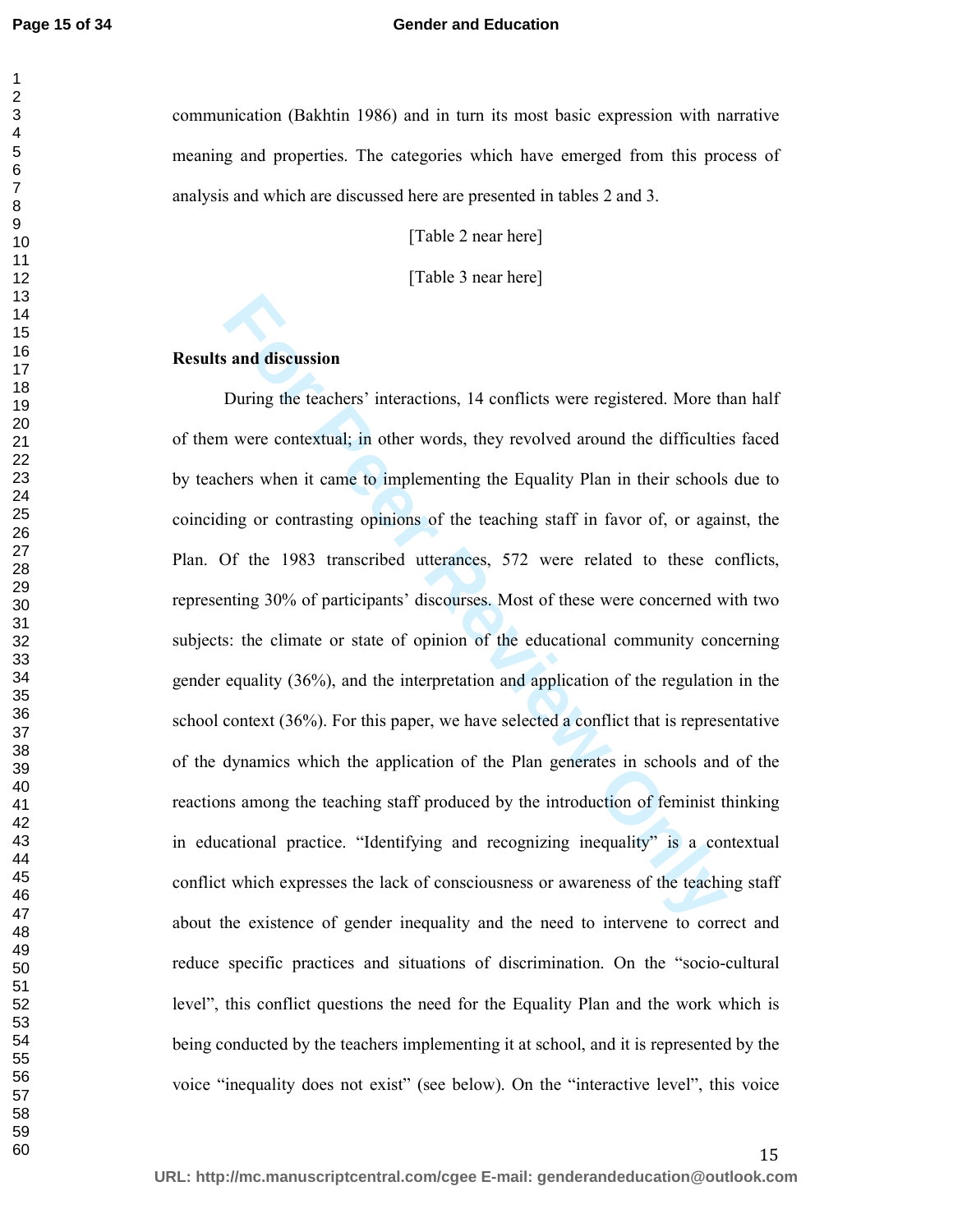**Page 15 of 34**

#### **Gender and Education**

communication (Bakhtin 1986) and in turn its most basic expression with narrative meaning and properties. The categories which have emerged from this process of analysis and which are discussed here are presented in tables 2 and 3.

[Table 2 near here]

[Table 3 near here]

#### **Results and discussion**

**Sample 15** and discussion<br>
During the teachers' interactions, 14 conflicts were registered. More the<br>
never contextual; in other words, they revolved around the difficultie<br>
hers when it came to implementing the Equality During the teachers' interactions, 14 conflicts were registered. More than half of them were contextual; in other words, they revolved around the difficulties faced by teachers when it came to implementing the Equality Plan in their schools due to coinciding or contrasting opinions of the teaching staff in favor of, or against, the Plan. Of the 1983 transcribed utterances, 572 were related to these conflicts, representing 30% of participants' discourses. Most of these were concerned with two subjects: the climate or state of opinion of the educational community concerning gender equality (36%), and the interpretation and application of the regulation in the school context (36%). For this paper, we have selected a conflict that is representative of the dynamics which the application of the Plan generates in schools and of the reactions among the teaching staff produced by the introduction of feminist thinking in educational practice. "Identifying and recognizing inequality" is a contextual conflict which expresses the lack of consciousness or awareness of the teaching staff about the existence of gender inequality and the need to intervene to correct and reduce specific practices and situations of discrimination. On the "socio-cultural level", this conflict questions the need for the Equality Plan and the work which is being conducted by the teachers implementing it at school, and it is represented by the voice "inequality does not exist" (see below). On the "interactive level", this voice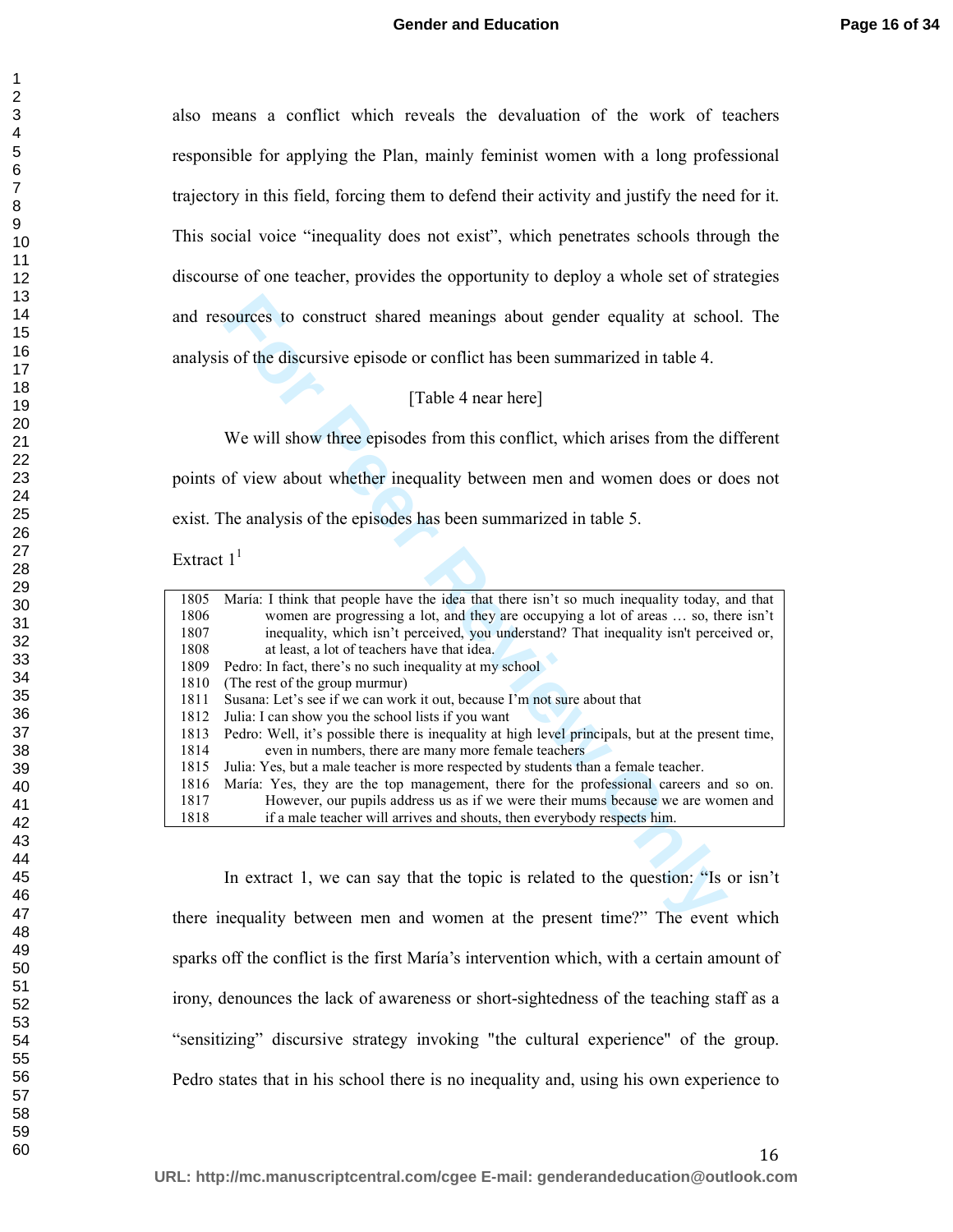also means a conflict which reveals the devaluation of the work of teachers responsible for applying the Plan, mainly feminist women with a long professional trajectory in this field, forcing them to defend their activity and justify the need for it. This social voice "inequality does not exist", which penetrates schools through the discourse of one teacher, provides the opportunity to deploy a whole set of strategies and resources to construct shared meanings about gender equality at school. The analysis of the discursive episode or conflict has been summarized in table 4.

#### [Table 4 near here]

Extract  $1<sup>1</sup>$ 

| and resources to construct shared meanings about gender equality at school. The                           |
|-----------------------------------------------------------------------------------------------------------|
| analysis of the discursive episode or conflict has been summarized in table 4.                            |
| [Table 4 near here]                                                                                       |
| We will show three episodes from this conflict, which arises from the different                           |
| points of view about whether inequality between men and women does or does not                            |
| exist. The analysis of the episodes has been summarized in table 5.                                       |
| Extract $1^1$                                                                                             |
| 1805<br>María: I think that people have the idea that there isn't so much inequality today, and that      |
| 1806<br>women are progressing a lot, and they are occupying a lot of areas  so, there isn't               |
| inequality, which isn't perceived, you understand? That inequality isn't perceived or,<br>1807            |
| 1808<br>at least, a lot of teachers have that idea.                                                       |
| 1809<br>Pedro: In fact, there's no such inequality at my school                                           |
| 1810<br>(The rest of the group murmur)                                                                    |
| 1811<br>Susana: Let's see if we can work it out, because I'm not sure about that                          |
| 1812<br>Julia: I can show you the school lists if you want                                                |
| 1813<br>Pedro: Well, it's possible there is inequality at high level principals, but at the present time, |
| 1814<br>even in numbers, there are many more female teachers                                              |
| Julia: Yes, but a male teacher is more respected by students than a female teacher.<br>1815               |
| 1816<br>María: Yes, they are the top management, there for the professional careers and so on.            |
| 1817<br>However, our pupils address us as if we were their mums because we are women and                  |
| 1818<br>if a male teacher will arrives and shouts, then everybody respects him.                           |
|                                                                                                           |
| In extract 1, we can say that the topic is related to the question: "Is or isn't                          |
| here inequality between men and women at the present time?" The event which                               |

In extract 1, we can say that the topic is related to the question: "Is or isn't there inequality between men and women at the present time?" The event which sparks off the conflict is the first María's intervention which, with a certain amount of irony, denounces the lack of awareness or short-sightedness of the teaching staff as a "sensitizing" discursive strategy invoking "the cultural experience" of the group. Pedro states that in his school there is no inequality and, using his own experience to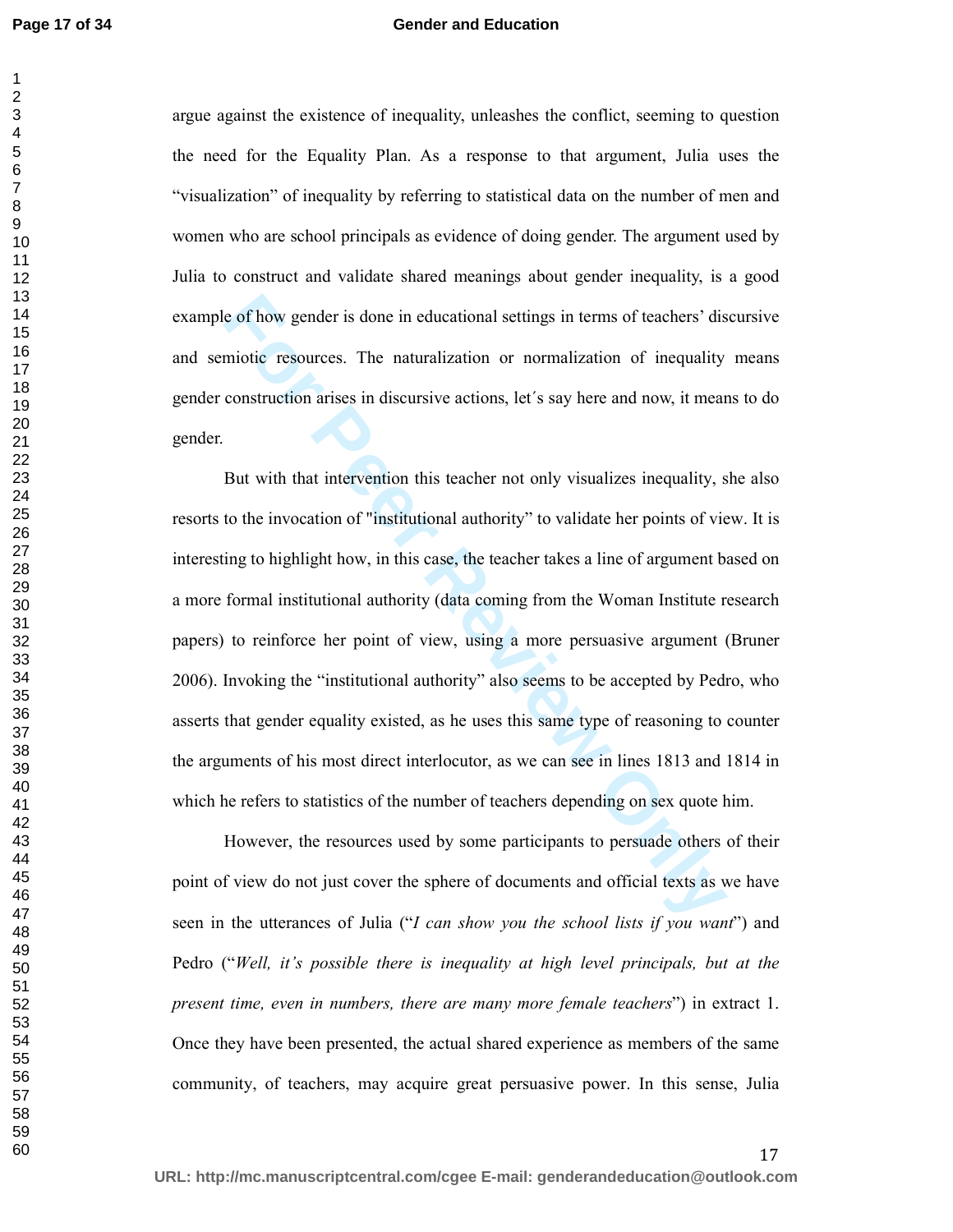#### **Gender and Education**

argue against the existence of inequality, unleashes the conflict, seeming to question the need for the Equality Plan. As a response to that argument, Julia uses the "visualization" of inequality by referring to statistical data on the number of men and women who are school principals as evidence of doing gender. The argument used by Julia to construct and validate shared meanings about gender inequality, is a good example of how gender is done in educational settings in terms of teachers' discursive and semiotic resources. The naturalization or normalization of inequality means gender construction arises in discursive actions, let´s say here and now, it means to do gender.

**Example 1** considerational settings in terms of teachers' dismindic resources. The naturalization or normalization of inequality construction arises in discursive actions, let's say here and now, it means Dut with that i But with that intervention this teacher not only visualizes inequality, she also resorts to the invocation of "institutional authority" to validate her points of view. It is interesting to highlight how, in this case, the teacher takes a line of argument based on a more formal institutional authority (data coming from the Woman Institute research papers) to reinforce her point of view, using a more persuasive argument (Bruner 2006). Invoking the "institutional authority" also seems to be accepted by Pedro, who asserts that gender equality existed, as he uses this same type of reasoning to counter the arguments of his most direct interlocutor, as we can see in lines 1813 and 1814 in which he refers to statistics of the number of teachers depending on sex quote him.

However, the resources used by some participants to persuade others of their point of view do not just cover the sphere of documents and official texts as we have seen in the utterances of Julia ("*I can show you the school lists if you want*") and Pedro ("*Well, it's possible there is inequality at high level principals, but at the present time, even in numbers, there are many more female teachers*") in extract 1. Once they have been presented, the actual shared experience as members of the same community, of teachers, may acquire great persuasive power. In this sense, Julia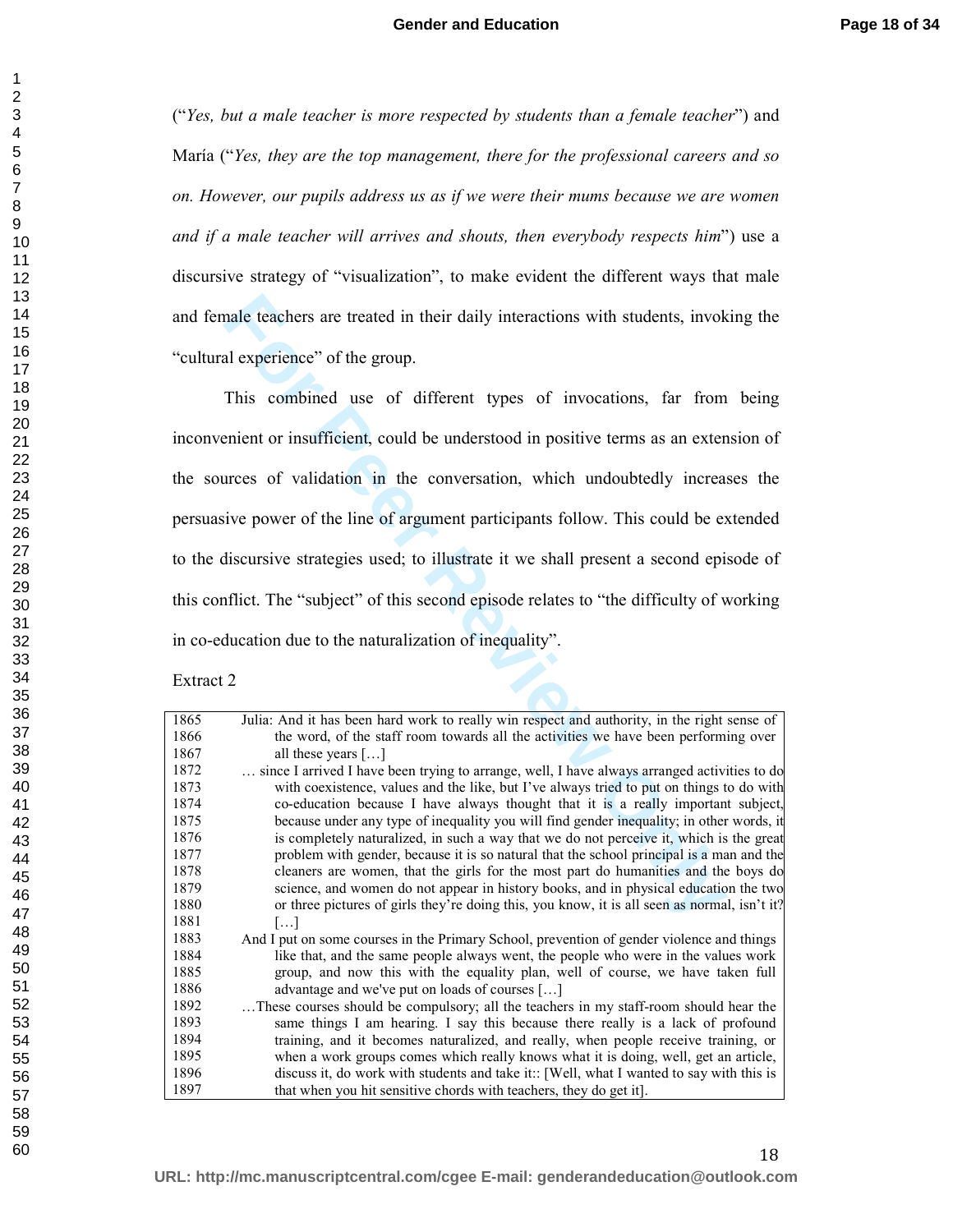("*Yes, but a male teacher is more respected by students than a female teacher*") and María ("*Yes, they are the top management, there for the professional careers and so on. However, our pupils address us as if we were their mums because we are women and if a male teacher will arrives and shouts, then everybody respects him*") use a discursive strategy of "visualization", to make evident the different ways that male and female teachers are treated in their daily interactions with students, invoking the "cultural experience" of the group.

**For Period 2** and the starting interactions with students, invok<br>
al experience" of the group.<br>
This combined use of different types of invocations, far from<br>
Finis combined use of different types of invocations, far from This combined use of different types of invocations, far from being inconvenient or insufficient, could be understood in positive terms as an extension of the sources of validation in the conversation, which undoubtedly increases the persuasive power of the line of argument participants follow. This could be extended to the discursive strategies used; to illustrate it we shall present a second episode of this conflict. The "subject" of this second episode relates to "the difficulty of working in co-education due to the naturalization of inequality".

Extract 2

| 1865 | Julia: And it has been hard work to really win respect and authority, in the right sense of  |
|------|----------------------------------------------------------------------------------------------|
| 1866 | the word, of the staff room towards all the activities we have been performing over          |
| 1867 | all these years $[\dots]$                                                                    |
| 1872 | since I arrived I have been trying to arrange, well, I have always arranged activities to do |
| 1873 | with coexistence, values and the like, but I've always tried to put on things to do with     |
| 1874 | co-education because I have always thought that it is a really important subject,            |
| 1875 | because under any type of inequality you will find gender inequality; in other words, it     |
| 1876 | is completely naturalized, in such a way that we do not perceive it, which is the great      |
| 1877 | problem with gender, because it is so natural that the school principal is a man and the     |
| 1878 | cleaners are women, that the girls for the most part do humanities and the boys do           |
| 1879 | science, and women do not appear in history books, and in physical education the two         |
| 1880 | or three pictures of girls they're doing this, you know, it is all seen as normal, isn't it? |
| 1881 | $\left[\ldots\right]$                                                                        |
| 1883 | And I put on some courses in the Primary School, prevention of gender violence and things    |
| 1884 | like that, and the same people always went, the people who were in the values work           |
| 1885 | group, and now this with the equality plan, well of course, we have taken full               |
| 1886 | advantage and we've put on loads of courses []                                               |
| 1892 | These courses should be compulsory; all the teachers in my staff-room should hear the        |
| 1893 | same things I am hearing. I say this because there really is a lack of profound              |
| 1894 | training, and it becomes naturalized, and really, when people receive training, or           |
| 1895 | when a work groups comes which really knows what it is doing, well, get an article,          |
| 1896 | discuss it, do work with students and take it:: [Well, what I wanted to say with this is     |
| 1897 | that when you hit sensitive chords with teachers, they do get it.                            |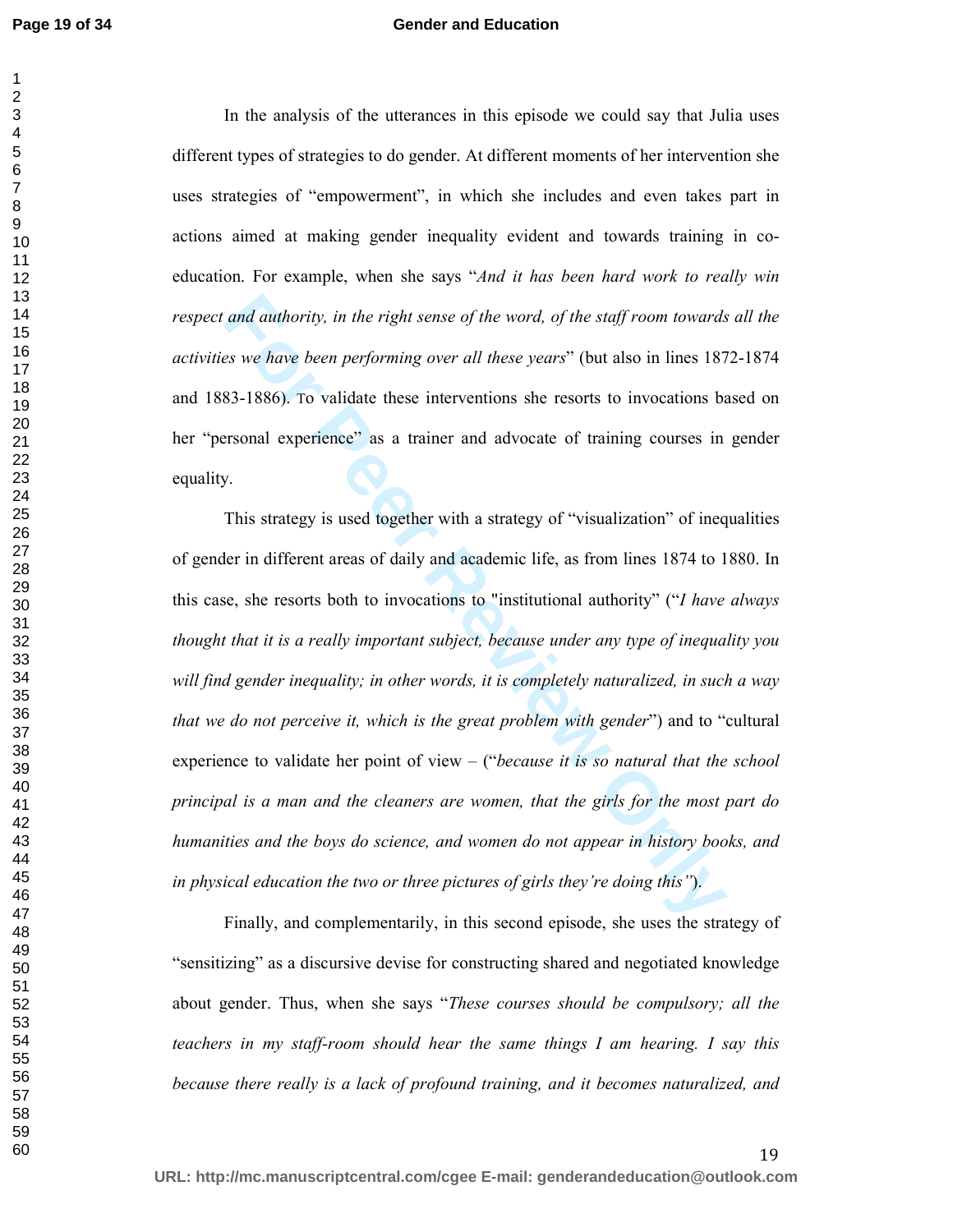#### **Gender and Education**

In the analysis of the utterances in this episode we could say that Julia uses different types of strategies to do gender. At different moments of her intervention she uses strategies of "empowerment", in which she includes and even takes part in actions aimed at making gender inequality evident and towards training in coeducation. For example, when she says "*And it has been hard work to really win respect and authority, in the right sense of the word, of the staff room towards all the activities we have been performing over all these years*" (but also in lines 1872-1874 and 1883-1886). To validate these interventions she resorts to invocations based on her "personal experience" as a trainer and advocate of training courses in gender equality.

and authority, in the right sense of the word, of the staff room towards<br>so we have been performing over all these years" (but also in lines 187<br>83-1886). To validate these interventions she resorts to invocations be<br>Form This strategy is used together with a strategy of "visualization" of inequalities of gender in different areas of daily and academic life, as from lines 1874 to 1880. In this case, she resorts both to invocations to "institutional authority" ("*I have always thought that it is a really important subject, because under any type of inequality you will find gender inequality; in other words, it is completely naturalized, in such a way that we do not perceive it, which is the great problem with gender*") and to "cultural experience to validate her point of view – ("*because it is so natural that the school principal is a man and the cleaners are women, that the girls for the most part do humanities and the boys do science, and women do not appear in history books, and in physical education the two or three pictures of girls they're doing this"*).

Finally, and complementarily, in this second episode, she uses the strategy of "sensitizing" as a discursive devise for constructing shared and negotiated knowledge about gender. Thus, when she says "*These courses should be compulsory; all the teachers in my staff-room should hear the same things I am hearing. I say this because there really is a lack of profound training, and it becomes naturalized, and*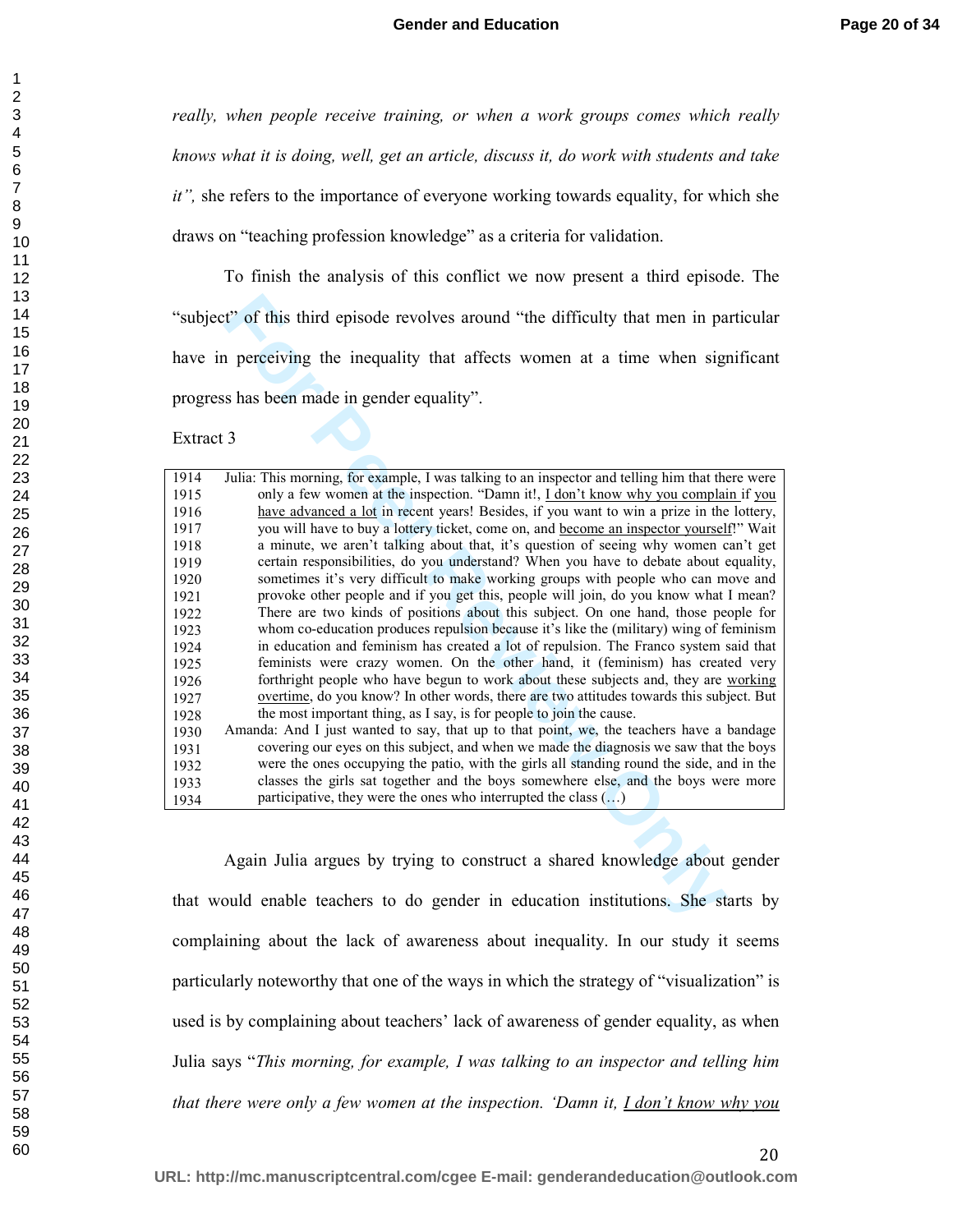*really, when people receive training, or when a work groups comes which really knows what it is doing, well, get an article, discuss it, do work with students and take it",* she refers to the importance of everyone working towards equality, for which she draws on "teaching profession knowledge" as a criteria for validation.

To finish the analysis of this conflict we now present a third episode. The "subject" of this third episode revolves around "the difficulty that men in particular have in perceiving the inequality that affects women at a time when significant progress has been made in gender equality".

| "subject" of this third episode revolves around "the difficulty that men in particular                  |
|---------------------------------------------------------------------------------------------------------|
| have in perceiving the inequality that affects women at a time when significant                         |
| progress has been made in gender equality".                                                             |
| Extract 3                                                                                               |
| Julia: This morning, for example, I was talking to an inspector and telling him that there were<br>1914 |
| only a few women at the inspection. "Damn it!, I don't know why you complain if you<br>1915             |
| have advanced a lot in recent years! Besides, if you want to win a prize in the lottery,<br>1916        |
| you will have to buy a lottery ticket, come on, and become an inspector yourself!" Wait<br>1917         |
| a minute, we aren't talking about that, it's question of seeing why women can't get<br>1918             |
| certain responsibilities, do you understand? When you have to debate about equality,<br>1919            |
| sometimes it's very difficult to make working groups with people who can move and<br>1920               |
| provoke other people and if you get this, people will join, do you know what I mean?<br>1921            |
| There are two kinds of positions about this subject. On one hand, those people for<br>1922              |
| whom co-education produces repulsion because it's like the (military) wing of feminism<br>1923          |
| in education and feminism has created a lot of repulsion. The Franco system said that<br>1924           |
| feminists were crazy women. On the other hand, it (feminism) has created very<br>1925                   |
| forthright people who have begun to work about these subjects and, they are working<br>1926             |
| overtime, do you know? In other words, there are two attitudes towards this subject. But<br>1927        |
| the most important thing, as I say, is for people to join the cause.<br>1928                            |
| Amanda: And I just wanted to say, that up to that point, we, the teachers have a bandage<br>1930        |
| covering our eyes on this subject, and when we made the diagnosis we saw that the boys<br>1931          |
| were the ones occupying the patio, with the girls all standing round the side, and in the<br>1932       |
| classes the girls sat together and the boys somewhere else, and the boys were more<br>1933              |
| participative, they were the ones who interrupted the class $(\ldots)$<br>1934                          |
| Again Julia argues by trying to construct a shared knowledge about gender                               |
| that would enable teachers to do gender in education institutions. She starts by                        |

Again Julia argues by trying to construct a shared knowledge about gender that would enable teachers to do gender in education institutions. She starts by complaining about the lack of awareness about inequality. In our study it seems particularly noteworthy that one of the ways in which the strategy of "visualization" is used is by complaining about teachers' lack of awareness of gender equality, as when Julia says "*This morning, for example, I was talking to an inspector and telling him that there were only a few women at the inspection. 'Damn it, I don't know why you*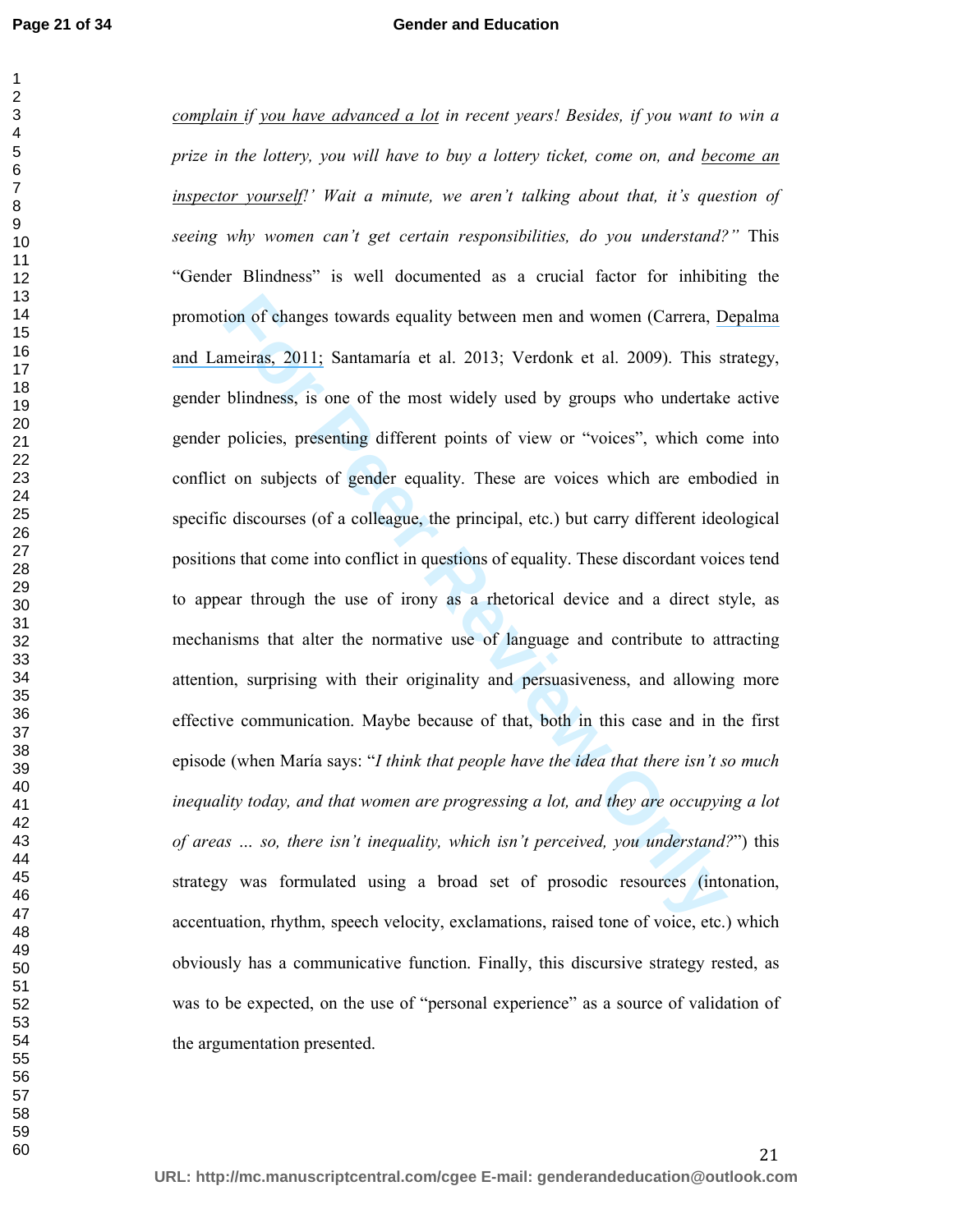#### **Gender and Education**

ion of changes towards equality between men and women (Carrera, D. meiras, 2011; Santamaría et al. 2013; Verdonk et al. 2009). This si<br>blindness, is one of the most widely used by groups who undertake<br>policies, presenting *complain if you have advanced a lot in recent years! Besides, if you want to win a prize in the lottery, you will have to buy a lottery ticket, come on, and become an inspector yourself!' Wait a minute, we aren't talking about that, it's question of seeing why women can't get certain responsibilities, do you understand?"* This "Gender Blindness" is well documented as a crucial factor for inhibiting the promotion of changes towards equality between men and women (Carrera, [Depalma](https://www.researchgate.net/publication/251304110_Toward_a_More_Comprehensive_Understanding_of_Bullying_in_School_Settings?el=1_x_8&enrichId=rgreq-18dbcbde78586745be6677a2184db5b4-XXX&enrichSource=Y292ZXJQYWdlOzI4MTA5MTMwMTtBUzoyNjQ3OTQwMTYwNTUyOTZAMTQ0MDE0MzIyMTIyNQ==)  [and Lameiras, 2011;](https://www.researchgate.net/publication/251304110_Toward_a_More_Comprehensive_Understanding_of_Bullying_in_School_Settings?el=1_x_8&enrichId=rgreq-18dbcbde78586745be6677a2184db5b4-XXX&enrichSource=Y292ZXJQYWdlOzI4MTA5MTMwMTtBUzoyNjQ3OTQwMTYwNTUyOTZAMTQ0MDE0MzIyMTIyNQ==) Santamaría et al. 2013; Verdonk et al. 2009). This strategy, gender blindness, is one of the most widely used by groups who undertake active gender policies, presenting different points of view or "voices", which come into conflict on subjects of gender equality. These are voices which are embodied in specific discourses (of a colleague, the principal, etc.) but carry different ideological positions that come into conflict in questions of equality. These discordant voices tend to appear through the use of irony as a rhetorical device and a direct style, as mechanisms that alter the normative use of language and contribute to attracting attention, surprising with their originality and persuasiveness, and allowing more effective communication. Maybe because of that, both in this case and in the first episode (when María says: "*I think that people have the idea that there isn't so much inequality today, and that women are progressing a lot, and they are occupying a lot of areas … so, there isn't inequality, which isn't perceived, you understand?*") this strategy was formulated using a broad set of prosodic resources (intonation, accentuation, rhythm, speech velocity, exclamations, raised tone of voice, etc.) which obviously has a communicative function. Finally, this discursive strategy rested, as was to be expected, on the use of "personal experience" as a source of validation of the argumentation presented.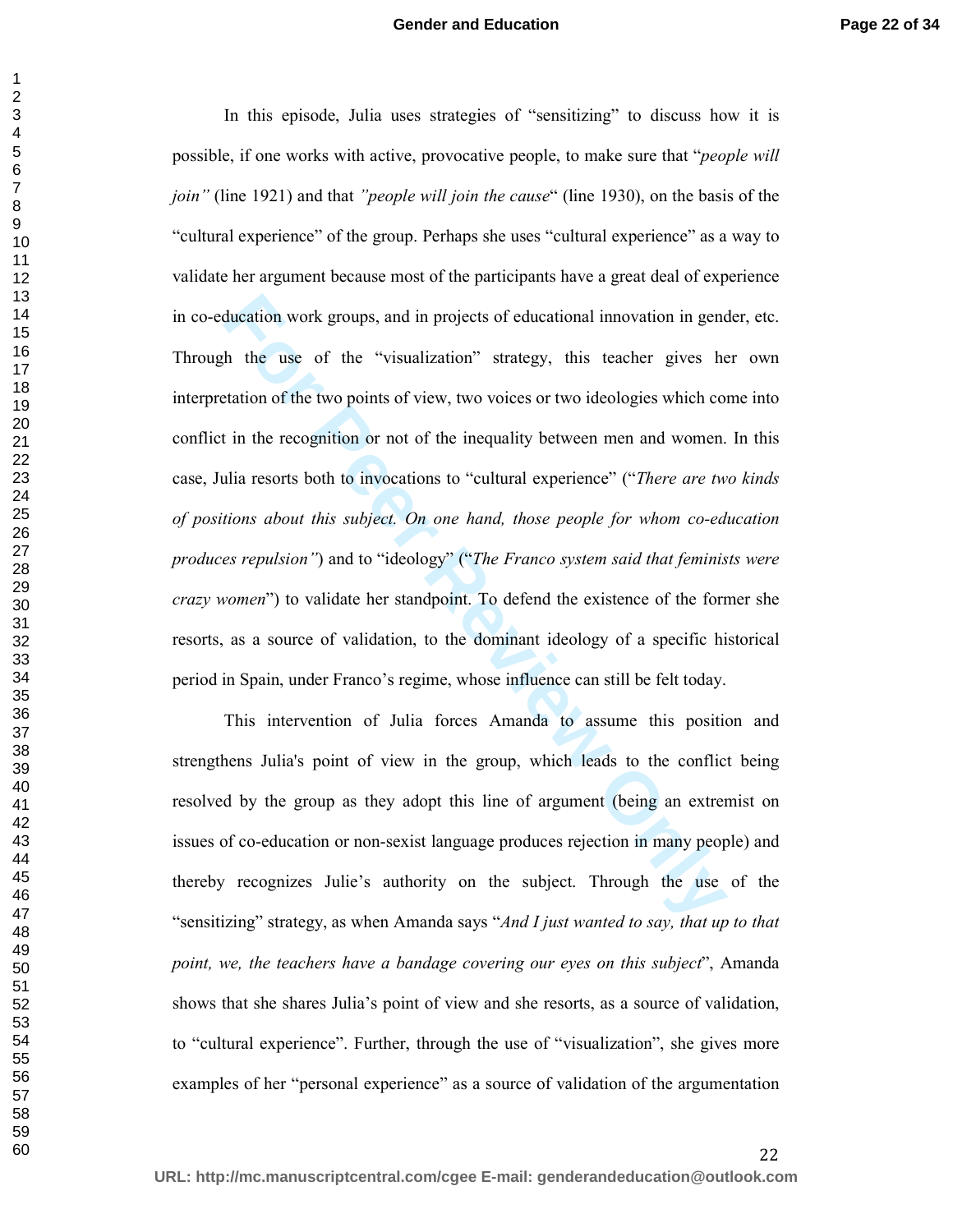ducation work groups, and in projects of educational innovation in gence<br>the the use of the "visualization" strategy, this teacher gives he<br>tation of the two points of view, two voices or two ideologies which co<br>in the rec In this episode, Julia uses strategies of "sensitizing" to discuss how it is possible, if one works with active, provocative people, to make sure that "*people will join"* (line 1921) and that *"people will join the cause*" (line 1930), on the basis of the "cultural experience" of the group. Perhaps she uses "cultural experience" as a way to validate her argument because most of the participants have a great deal of experience in co-education work groups, and in projects of educational innovation in gender, etc. Through the use of the "visualization" strategy, this teacher gives her own interpretation of the two points of view, two voices or two ideologies which come into conflict in the recognition or not of the inequality between men and women. In this case, Julia resorts both to invocations to "cultural experience" ("*There are two kinds of positions about this subject. On one hand, those people for whom co-education produces repulsion"*) and to "ideology" ("*The Franco system said that feminists were crazy women*") to validate her standpoint. To defend the existence of the former she resorts, as a source of validation, to the dominant ideology of a specific historical period in Spain, under Franco's regime, whose influence can still be felt today.

This intervention of Julia forces Amanda to assume this position and strengthens Julia's point of view in the group, which leads to the conflict being resolved by the group as they adopt this line of argument (being an extremist on issues of co-education or non-sexist language produces rejection in many people) and thereby recognizes Julie's authority on the subject. Through the use of the "sensitizing" strategy, as when Amanda says "*And I just wanted to say, that up to that point, we, the teachers have a bandage covering our eyes on this subject*", Amanda shows that she shares Julia's point of view and she resorts, as a source of validation, to "cultural experience". Further, through the use of "visualization", she gives more examples of her "personal experience" as a source of validation of the argumentation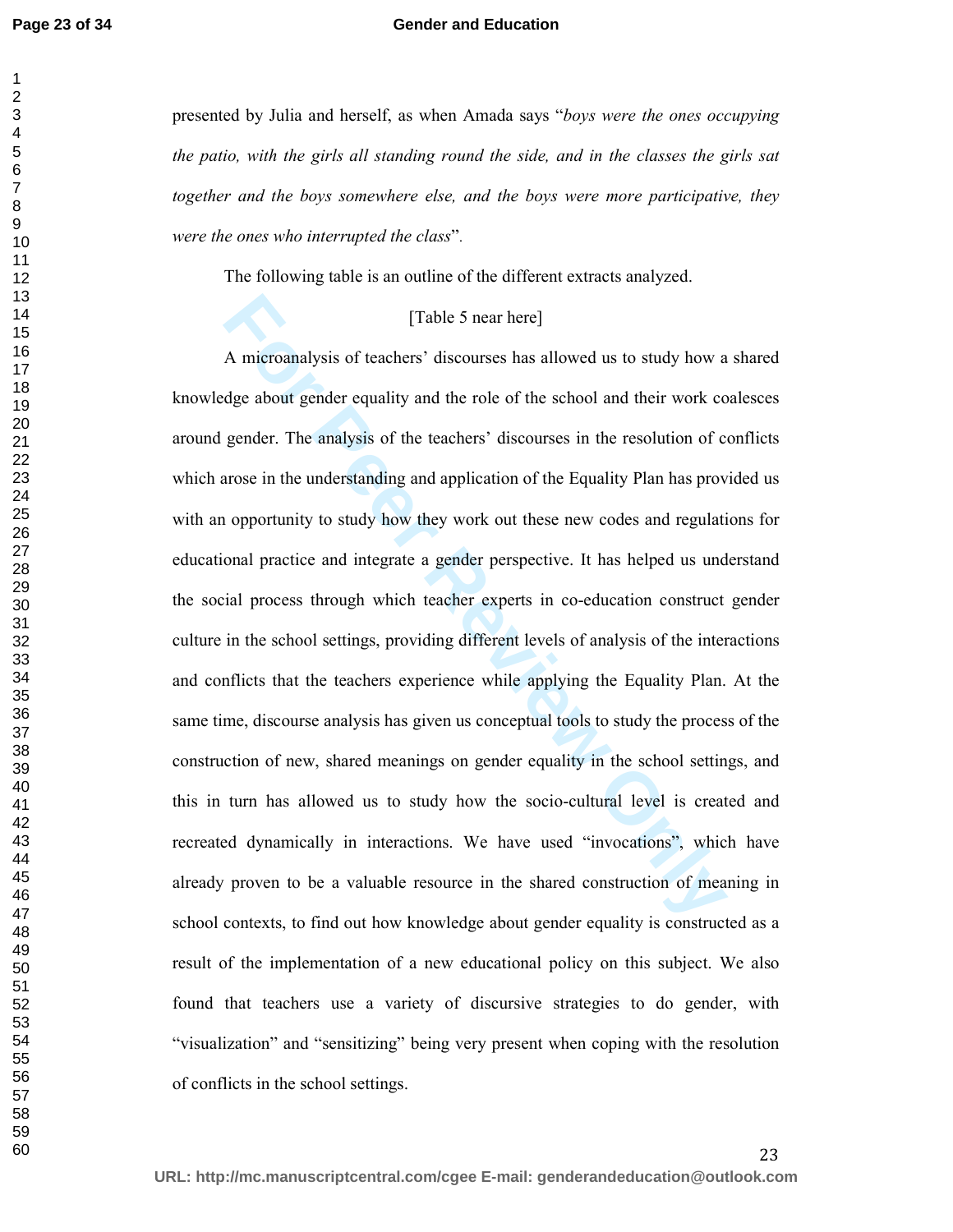#### **Gender and Education**

presented by Julia and herself, as when Amada says "*boys were the ones occupying the patio, with the girls all standing round the side, and in the classes the girls sat together and the boys somewhere else, and the boys were more participative, they were the ones who interrupted the class*".

The following table is an outline of the different extracts analyzed.

#### [Table 5 near here]

[Table 5 near here]<br>A microanalysis of teachers' discourses has allowed us to study how a<br>dge about gender equality and the role of the school and their work co<br>gender. The analysis of the teachers' discourses in the resol A microanalysis of teachers' discourses has allowed us to study how a shared knowledge about gender equality and the role of the school and their work coalesces around gender. The analysis of the teachers' discourses in the resolution of conflicts which arose in the understanding and application of the Equality Plan has provided us with an opportunity to study how they work out these new codes and regulations for educational practice and integrate a gender perspective. It has helped us understand the social process through which teacher experts in co-education construct gender culture in the school settings, providing different levels of analysis of the interactions and conflicts that the teachers experience while applying the Equality Plan. At the same time, discourse analysis has given us conceptual tools to study the process of the construction of new, shared meanings on gender equality in the school settings, and this in turn has allowed us to study how the socio-cultural level is created and recreated dynamically in interactions. We have used "invocations", which have already proven to be a valuable resource in the shared construction of meaning in school contexts, to find out how knowledge about gender equality is constructed as a result of the implementation of a new educational policy on this subject. We also found that teachers use a variety of discursive strategies to do gender, with "visualization" and "sensitizing" being very present when coping with the resolution of conflicts in the school settings.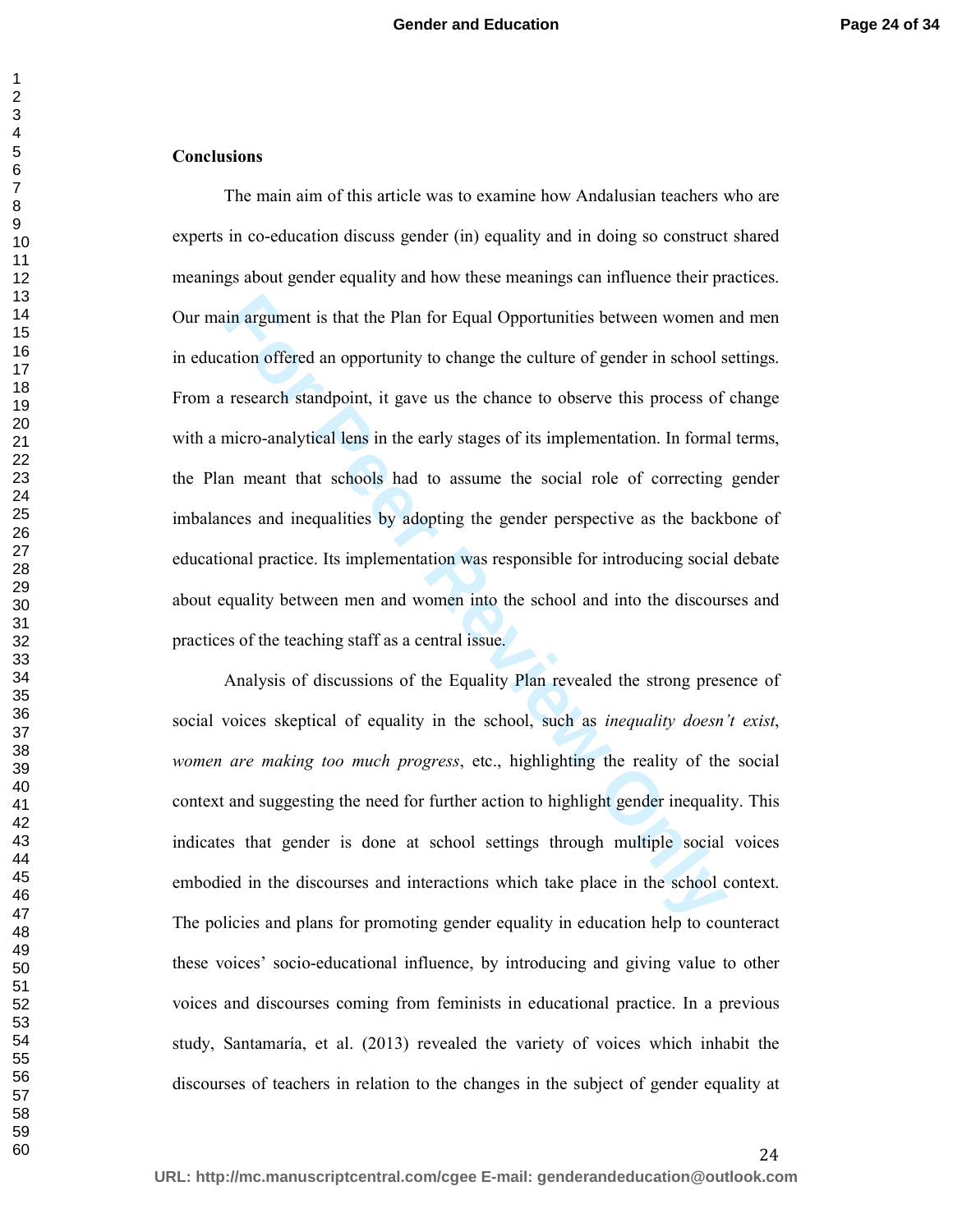#### **Conclusions**

in argument is that the Plan for Equal Opportunities between women a<br>ation offered an opportunity to change the culture of gender in school s<br>research standpoint, it gave us the chance to observe this process of<br>micro-anal The main aim of this article was to examine how Andalusian teachers who are experts in co-education discuss gender (in) equality and in doing so construct shared meanings about gender equality and how these meanings can influence their practices. Our main argument is that the Plan for Equal Opportunities between women and men in education offered an opportunity to change the culture of gender in school settings. From a research standpoint, it gave us the chance to observe this process of change with a micro-analytical lens in the early stages of its implementation. In formal terms, the Plan meant that schools had to assume the social role of correcting gender imbalances and inequalities by adopting the gender perspective as the backbone of educational practice. Its implementation was responsible for introducing social debate about equality between men and women into the school and into the discourses and practices of the teaching staff as a central issue.

Analysis of discussions of the Equality Plan revealed the strong presence of social voices skeptical of equality in the school, such as *inequality doesn't exist*, *women are making too much progress*, etc., highlighting the reality of the social context and suggesting the need for further action to highlight gender inequality. This indicates that gender is done at school settings through multiple social voices embodied in the discourses and interactions which take place in the school context. The policies and plans for promoting gender equality in education help to counteract these voices' socio-educational influence, by introducing and giving value to other voices and discourses coming from feminists in educational practice. In a previous study, Santamaría, et al. (2013) revealed the variety of voices which inhabit the discourses of teachers in relation to the changes in the subject of gender equality at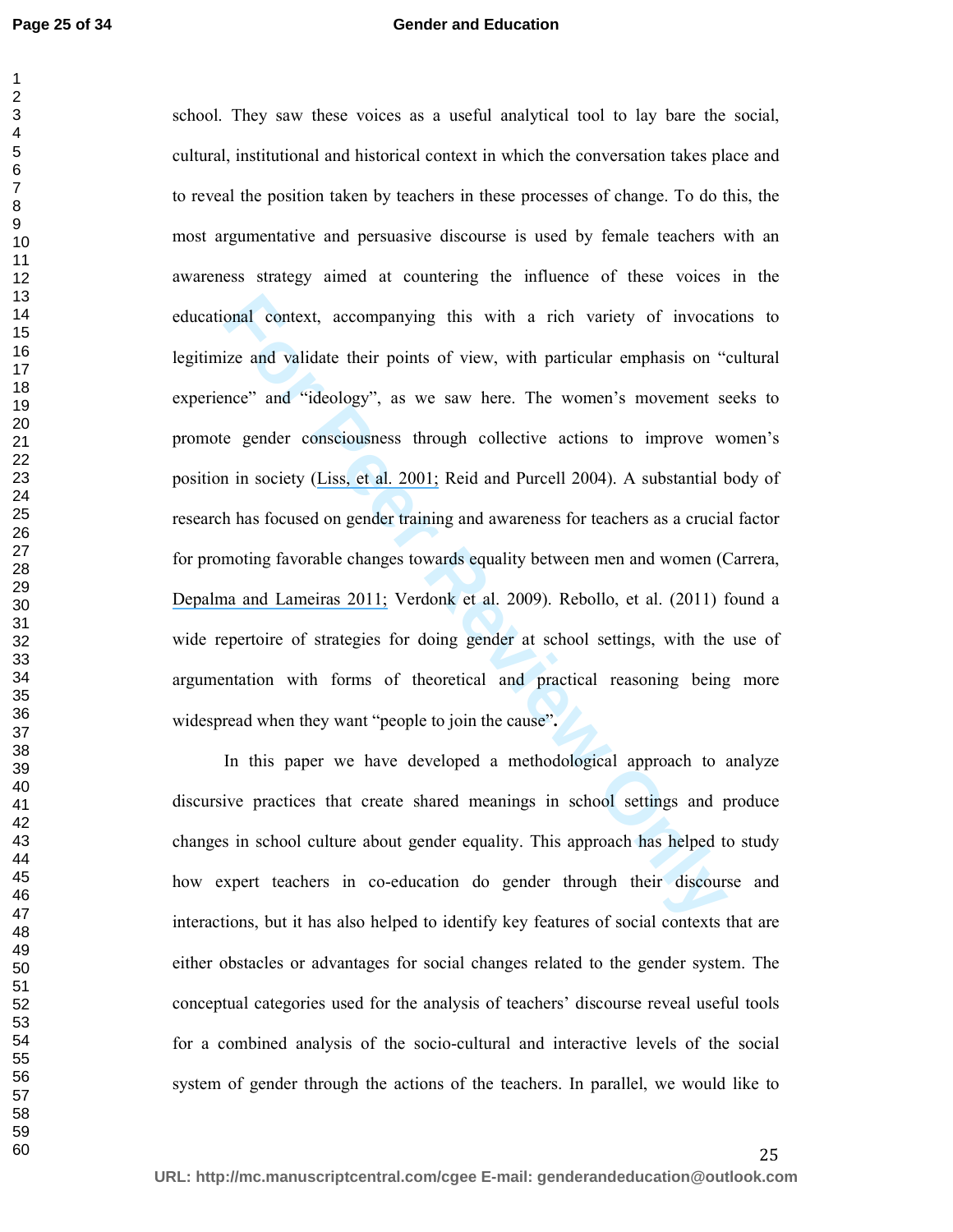#### **Gender and Education**

onal context, accompanying this with a rich variety of invocatize and validate their points of view, with particular emphasis on "nece" and "ideology", as we saw here. The women's movement so e gender consciousness through school. They saw these voices as a useful analytical tool to lay bare the social, cultural, institutional and historical context in which the conversation takes place and to reveal the position taken by teachers in these processes of change. To do this, the most argumentative and persuasive discourse is used by female teachers with an awareness strategy aimed at countering the influence of these voices in the educational context, accompanying this with a rich variety of invocations to legitimize and validate their points of view, with particular emphasis on "cultural experience" and "ideology", as we saw here. The women's movement seeks to promote gender consciousness through collective actions to improve women's position in society (Liss, et al. 2001; Reid and Purcell 2004). A substantial body of research has focused on gender training and awareness for teachers as a crucial factor for promoting favorable changes towards equality between men and women (Carrera, [Depalma and Lameiras 2011;](https://www.researchgate.net/publication/251304110_Toward_a_More_Comprehensive_Understanding_of_Bullying_in_School_Settings?el=1_x_8&enrichId=rgreq-18dbcbde78586745be6677a2184db5b4-XXX&enrichSource=Y292ZXJQYWdlOzI4MTA5MTMwMTtBUzoyNjQ3OTQwMTYwNTUyOTZAMTQ0MDE0MzIyMTIyNQ==) Verdonk et al. 2009). Rebollo, et al. (2011) found a wide repertoire of strategies for doing gender at school settings, with the use of argumentation with forms of theoretical and practical reasoning being more widespread when they want "people to join the cause"**.**

In this paper we have developed a methodological approach to analyze discursive practices that create shared meanings in school settings and produce changes in school culture about gender equality. This approach has helped to study how expert teachers in co-education do gender through their discourse and interactions, but it has also helped to identify key features of social contexts that are either obstacles or advantages for social changes related to the gender system. The conceptual categories used for the analysis of teachers' discourse reveal useful tools for a combined analysis of the socio-cultural and interactive levels of the social system of gender through the actions of the teachers. In parallel, we would like to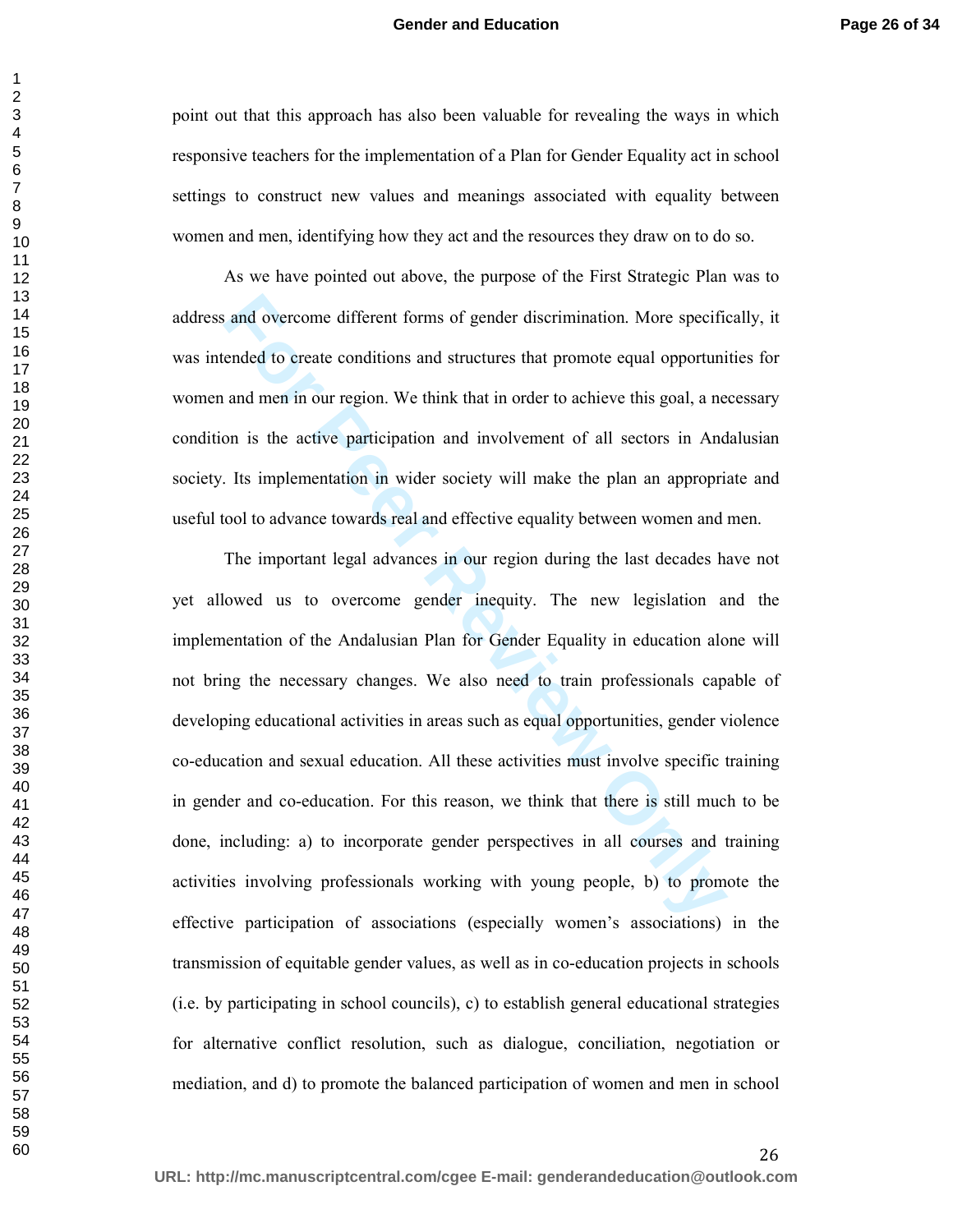point out that this approach has also been valuable for revealing the ways in which responsive teachers for the implementation of a Plan for Gender Equality act in school settings to construct new values and meanings associated with equality between women and men, identifying how they act and the resources they draw on to do so.

As we have pointed out above, the purpose of the First Strategic Plan was to address and overcome different forms of gender discrimination. More specifically, it was intended to create conditions and structures that promote equal opportunities for women and men in our region. We think that in order to achieve this goal, a necessary condition is the active participation and involvement of all sectors in Andalusian society. Its implementation in wider society will make the plan an appropriate and useful tool to advance towards real and effective equality between women and men.

and overcome different forms of gender discrimination. More specified to create conditions and structures that promote equal opportuni and men in our region. We think that in order to achieve this goal, a ne on is the acti The important legal advances in our region during the last decades have not yet allowed us to overcome gender inequity. The new legislation and the implementation of the Andalusian Plan for Gender Equality in education alone will not bring the necessary changes. We also need to train professionals capable of developing educational activities in areas such as equal opportunities, gender violence co-education and sexual education. All these activities must involve specific training in gender and co-education. For this reason, we think that there is still much to be done, including: a) to incorporate gender perspectives in all courses and training activities involving professionals working with young people, b) to promote the effective participation of associations (especially women's associations) in the transmission of equitable gender values, as well as in co-education projects in schools (i.e. by participating in school councils), c) to establish general educational strategies for alternative conflict resolution, such as dialogue, conciliation, negotiation or mediation, and d) to promote the balanced participation of women and men in school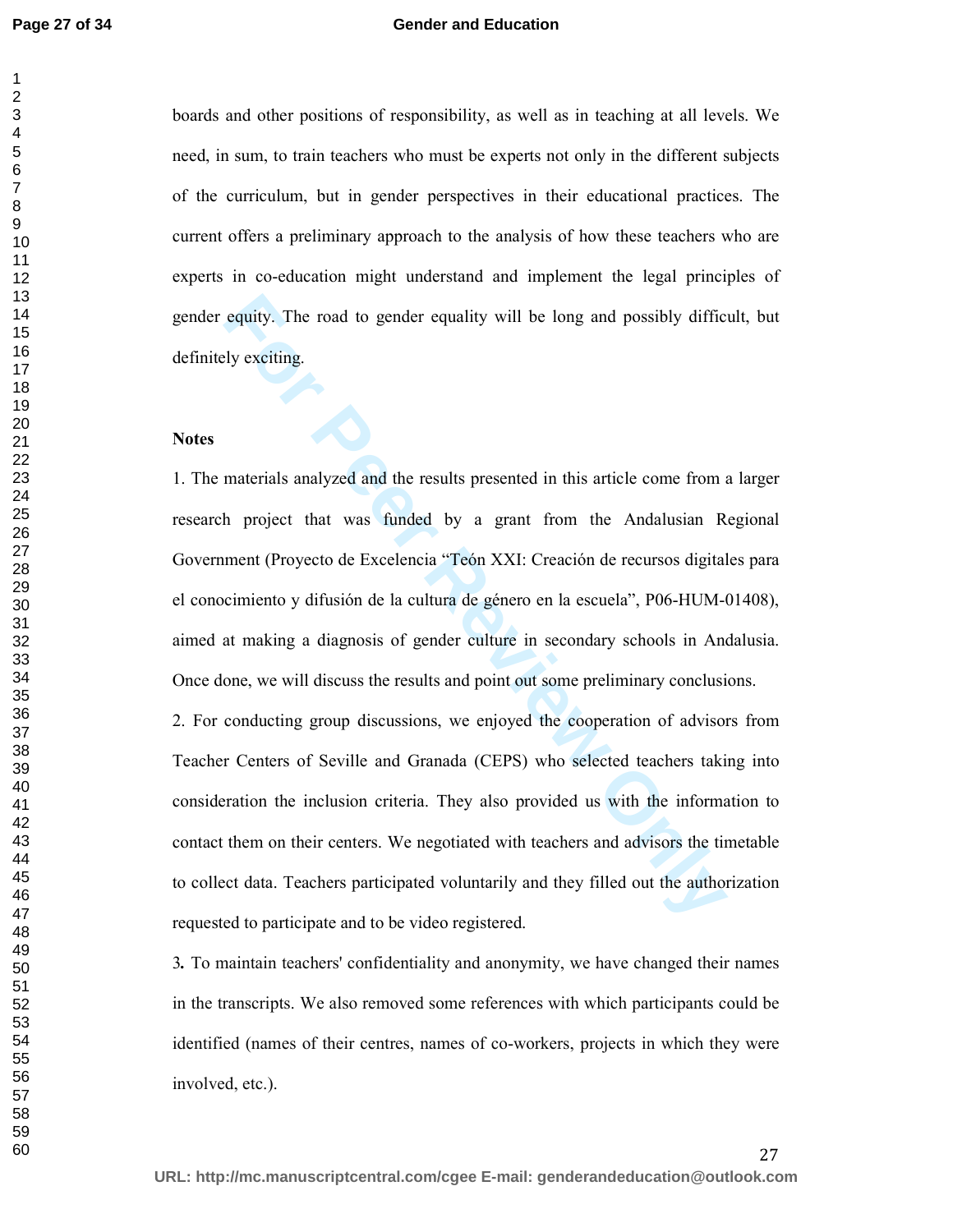#### **Gender and Education**

boards and other positions of responsibility, as well as in teaching at all levels. We need, in sum, to train teachers who must be experts not only in the different subjects of the curriculum, but in gender perspectives in their educational practices. The current offers a preliminary approach to the analysis of how these teachers who are experts in co-education might understand and implement the legal principles of gender equity. The road to gender equality will be long and possibly difficult, but definitely exciting.

#### **Notes**

equity. The road to gender equality will be long and possibly diffic<br>ty exciting.<br>The exercise of the results presented in this article come from a<br>ment (Proyecto de Excelencia "Teón XXI: Creación de recursos digital<br>cimie 1. The materials analyzed and the results presented in this article come from a larger research project that was funded by a grant from the Andalusian Regional Government (Proyecto de Excelencia "Teón XXI: Creación de recursos digitales para el conocimiento y difusión de la cultura de género en la escuela", P06-HUM-01408), aimed at making a diagnosis of gender culture in secondary schools in Andalusia. Once done, we will discuss the results and point out some preliminary conclusions.

2. For conducting group discussions, we enjoyed the cooperation of advisors from Teacher Centers of Seville and Granada (CEPS) who selected teachers taking into consideration the inclusion criteria. They also provided us with the information to contact them on their centers. We negotiated with teachers and advisors the timetable to collect data. Teachers participated voluntarily and they filled out the authorization requested to participate and to be video registered.

*.* To maintain teachers' confidentiality and anonymity, we have changed their names in the transcripts. We also removed some references with which participants could be identified (names of their centres, names of co-workers, projects in which they were involved, etc.).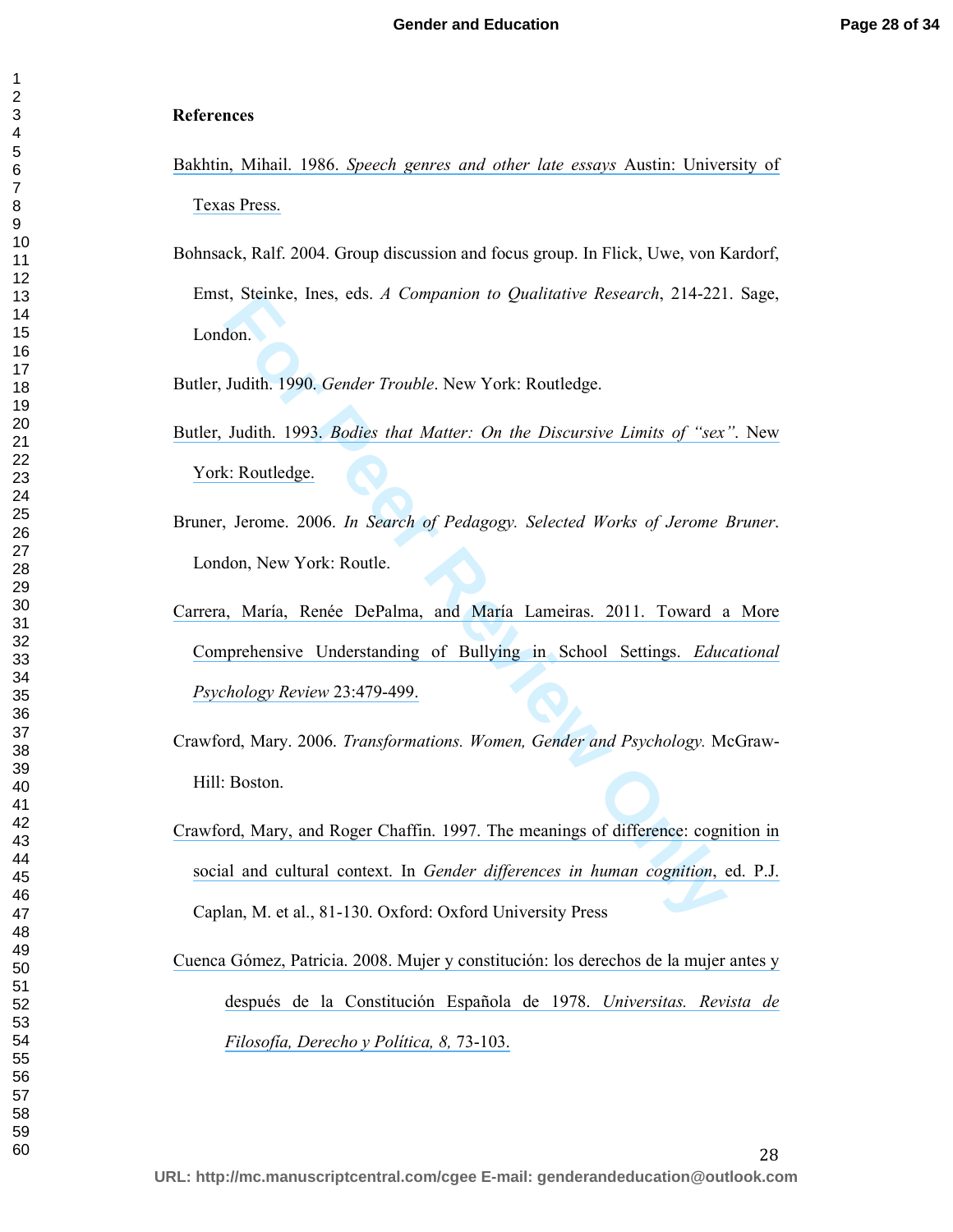#### **References**

- Bakhtin, Mihail. 1986. *[Speech genres and other late essays](https://www.researchgate.net/publication/243449848_Speech_Genres_Other_Late_Essays?el=1_x_8&enrichId=rgreq-18dbcbde78586745be6677a2184db5b4-XXX&enrichSource=Y292ZXJQYWdlOzI4MTA5MTMwMTtBUzoyNjQ3OTQwMTYwNTUyOTZAMTQ0MDE0MzIyMTIyNQ==)* Austin: University of [Texas Press.](https://www.researchgate.net/publication/243449848_Speech_Genres_Other_Late_Essays?el=1_x_8&enrichId=rgreq-18dbcbde78586745be6677a2184db5b4-XXX&enrichSource=Y292ZXJQYWdlOzI4MTA5MTMwMTtBUzoyNjQ3OTQwMTYwNTUyOTZAMTQ0MDE0MzIyMTIyNQ==)
- Bohnsack, Ralf. 2004. Group discussion and focus group. In Flick, Uwe, von Kardorf, Emst, Steinke, Ines, eds. *A Companion to Qualitative Research*, 214-221. Sage, London.
- Butler, Judith. 1990. *Gender Trouble*. New York: Routledge.
- Butler, Judith. 1993. *Bodies that Matter: On the Discursive Limits of "sex"*. New [York: Routledge.](https://www.researchgate.net/publication/245588513_Bodies_That_Matter_The_Discursive_Limits_of_Sex?el=1_x_8&enrichId=rgreq-18dbcbde78586745be6677a2184db5b4-XXX&enrichSource=Y292ZXJQYWdlOzI4MTA5MTMwMTtBUzoyNjQ3OTQwMTYwNTUyOTZAMTQ0MDE0MzIyMTIyNQ==)
- Bruner, Jerome. 2006. *In Search of Pedagogy. Selected Works of Jerome Bruner*. London, New York: Routle.
- [Carrera, María, Renée DePalma, and María Lameiras. 2011. Toward a More](https://www.researchgate.net/publication/251304110_Toward_a_More_Comprehensive_Understanding_of_Bullying_in_School_Settings?el=1_x_8&enrichId=rgreq-18dbcbde78586745be6677a2184db5b4-XXX&enrichSource=Y292ZXJQYWdlOzI4MTA5MTMwMTtBUzoyNjQ3OTQwMTYwNTUyOTZAMTQ0MDE0MzIyMTIyNQ==)  Comprehensive Understanding of Bullying in School Settings. *Educational Psychology Review* 23:479-499.
- Crawford, Mary. 2006. *Transformations. Women, Gender and Psychology.* McGraw-Hill: Boston.
- **Formally 1990.** General Energy energy and Martier Eurer Counterparts and Martier Couldinary Maria 1990. General Trouble New York: Routledge.<br> **For** Judith. 1993. *Bodies that Matter: On the Discursive Limits of "sex*<br> **Fo** [Crawford, Mary, and Roger Chaffin. 1997. The meanings of difference: cognition in](https://www.researchgate.net/publication/288482953_The_Meanings_of_Difference_Cognition_in_Social_and_Cultural_Context?el=1_x_8&enrichId=rgreq-18dbcbde78586745be6677a2184db5b4-XXX&enrichSource=Y292ZXJQYWdlOzI4MTA5MTMwMTtBUzoyNjQ3OTQwMTYwNTUyOTZAMTQ0MDE0MzIyMTIyNQ==)  social and cultural context. In *Gender differences in human cognition*, ed. P.J. Caplan, M. et al., 81-130. Oxford: Oxford University Press
- [Cuenca Gómez, Patricia. 2008. Mujer y constitución: los derechos de la mujer antes y](https://www.researchgate.net/publication/44097632_Mujer_y_Constitucion_los_derechos_de_la_mujer_antes_y_despues_de_la_Constitucion_Espanola_de_1978?el=1_x_8&enrichId=rgreq-18dbcbde78586745be6677a2184db5b4-XXX&enrichSource=Y292ZXJQYWdlOzI4MTA5MTMwMTtBUzoyNjQ3OTQwMTYwNTUyOTZAMTQ0MDE0MzIyMTIyNQ==)  [después de la Constitución Española de 1978.](https://www.researchgate.net/publication/44097632_Mujer_y_Constitucion_los_derechos_de_la_mujer_antes_y_despues_de_la_Constitucion_Espanola_de_1978?el=1_x_8&enrichId=rgreq-18dbcbde78586745be6677a2184db5b4-XXX&enrichSource=Y292ZXJQYWdlOzI4MTA5MTMwMTtBUzoyNjQ3OTQwMTYwNTUyOTZAMTQ0MDE0MzIyMTIyNQ==) *Universitas. Revista de [Filosofía, Derecho y Política, 8,](https://www.researchgate.net/publication/44097632_Mujer_y_Constitucion_los_derechos_de_la_mujer_antes_y_despues_de_la_Constitucion_Espanola_de_1978?el=1_x_8&enrichId=rgreq-18dbcbde78586745be6677a2184db5b4-XXX&enrichSource=Y292ZXJQYWdlOzI4MTA5MTMwMTtBUzoyNjQ3OTQwMTYwNTUyOTZAMTQ0MDE0MzIyMTIyNQ==)* 73-103.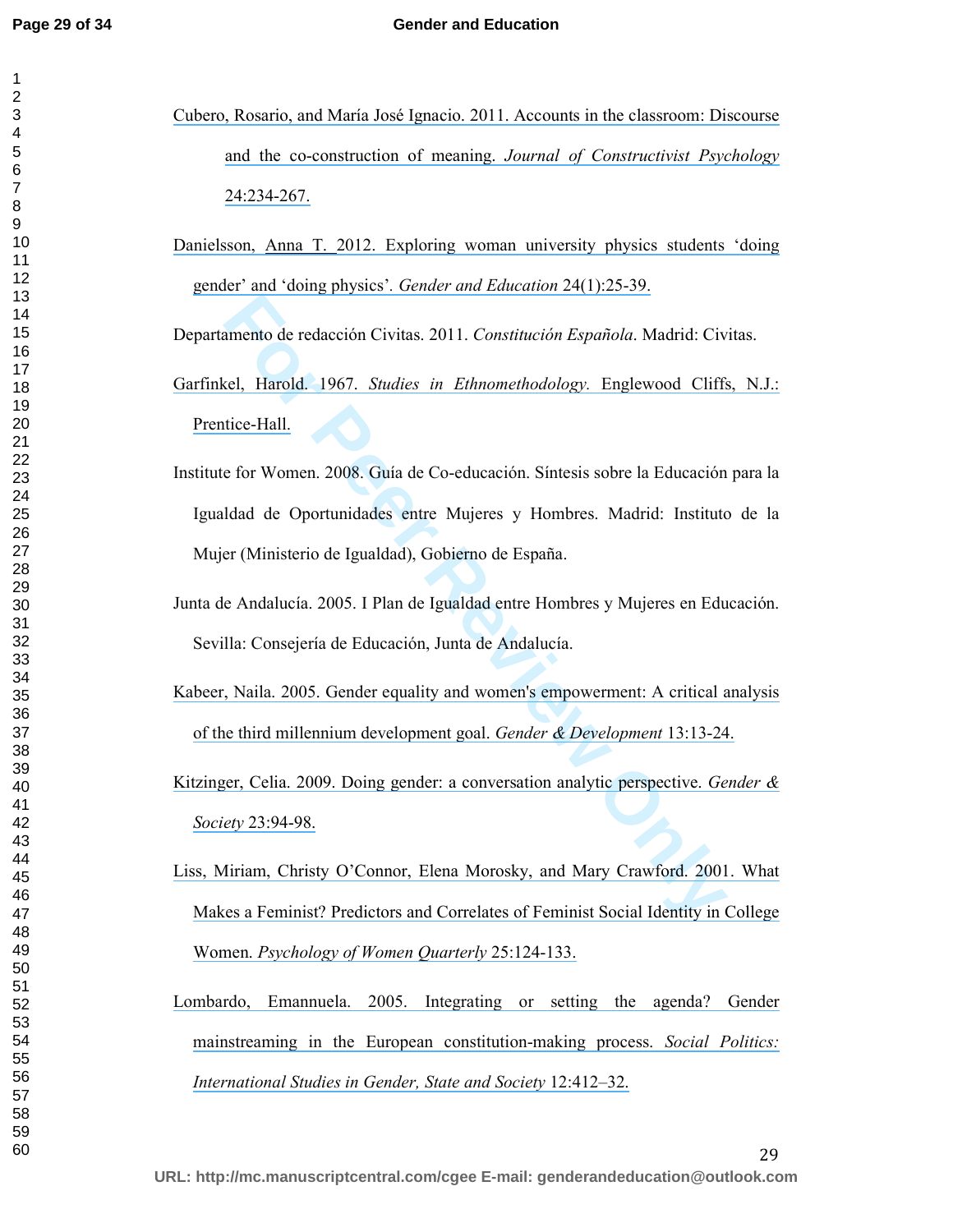- [Cubero, Rosario, and María José Ignacio. 2011. Accounts in the classroom: Discourse](https://www.researchgate.net/publication/233282770_Accounts_in_the_Classroom_Discourse_and_the_Coconstruction_of_Meaning?el=1_x_8&enrichId=rgreq-18dbcbde78586745be6677a2184db5b4-XXX&enrichSource=Y292ZXJQYWdlOzI4MTA5MTMwMTtBUzoyNjQ3OTQwMTYwNTUyOTZAMTQ0MDE0MzIyMTIyNQ==)  [and the co-construction of meaning.](https://www.researchgate.net/publication/233282770_Accounts_in_the_Classroom_Discourse_and_the_Coconstruction_of_Meaning?el=1_x_8&enrichId=rgreq-18dbcbde78586745be6677a2184db5b4-XXX&enrichSource=Y292ZXJQYWdlOzI4MTA5MTMwMTtBUzoyNjQ3OTQwMTYwNTUyOTZAMTQ0MDE0MzIyMTIyNQ==) *Journal of Constructivist Psychology*  [24:234-267.](https://www.researchgate.net/publication/233282770_Accounts_in_the_Classroom_Discourse_and_the_Coconstruction_of_Meaning?el=1_x_8&enrichId=rgreq-18dbcbde78586745be6677a2184db5b4-XXX&enrichSource=Y292ZXJQYWdlOzI4MTA5MTMwMTtBUzoyNjQ3OTQwMTYwNTUyOTZAMTQ0MDE0MzIyMTIyNQ==)
- [Danielsson, Anna T. 2012. Exploring woman university physics students 'doing](https://www.researchgate.net/publication/232816573_Exploring_woman_university_physics_students_)  [gender' and 'doing physics'](https://www.researchgate.net/publication/232816573_Exploring_woman_university_physics_students_)*. Gender and Education* 24(1):25-39.

Departamento de redacción Civitas. 2011. *Constitución Española*. Madrid: Civitas.

- Garfinkel, Harold. 1967. *Studies in Ethnomethodology.* Englewood Cliffs, N.J.: [Prentice-Hall.](https://www.researchgate.net/publication/202187153_Studies_In_Ethnomethodology?el=1_x_8&enrichId=rgreq-18dbcbde78586745be6677a2184db5b4-XXX&enrichSource=Y292ZXJQYWdlOzI4MTA5MTMwMTtBUzoyNjQ3OTQwMTYwNTUyOTZAMTQ0MDE0MzIyMTIyNQ==)
- **Example 18 Constitution** Española. Madrid: Civital, Harold. 1967. *Studies in Ethnomethodology*. Engl[ew](https://www.researchgate.net/publication/248930221_Gender_Equality_and_Women)ood Cliffs tice-Hall.<br> **E** f[or](https://www.researchgate.net/publication/202187153_Studies_In_Ethnomethodology?el=1_x_8&enrichId=rgreq-18dbcbde78586745be6677a2184db5b4-XXX&enrichSource=Y292ZXJQYWdlOzI4MTA5MTMwMTtBUzoyNjQ3OTQwMTYwNTUyOTZAMTQ0MDE0MzIyMTIyNQ==) Women. 2008. Guía de Co-educación. Sintesis sobre la Educación<br>
Idad de Oportunidades e Institute for Women. 2008. Guía de Co-educación. Síntesis sobre la Educación para la Igualdad de Oportunidades entre Mujeres y Hombres. Madrid: Instituto de la Mujer (Ministerio de Igualdad), Gobierno de España.
- Junta de Andalucía. 2005. I Plan de Igualdad entre Hombres y Mujeres en Educación. Sevilla: Consejería de Educación, Junta de Andalucía.
- [Kabeer, Naila. 2005. Gender equality and women's empowerment: A critical analysis](https://www.researchgate.net/publication/248930221_Gender_Equality_and_Women)  of the third millennium development goal. *Gender & Development* 13:13-24.
- [Kitzinger, Celia. 2009. Doing gender: a conversation analytic perspective.](https://www.researchgate.net/publication/240696476_Doing_GenderA_Conversation_Analytic_Perspective?el=1_x_8&enrichId=rgreq-18dbcbde78586745be6677a2184db5b4-XXX&enrichSource=Y292ZXJQYWdlOzI4MTA5MTMwMTtBUzoyNjQ3OTQwMTYwNTUyOTZAMTQ0MDE0MzIyMTIyNQ==) *Gender & Society* 23:94-98.
- [Liss, Miriam, Christy O'Connor, Elena Morosky, and Mary Crawford. 2001. What](https://www.researchgate.net/publication/227510110_What_Makes_a_Feminist_Predictors_and_Correlates_of_Feminist_Social_Identity_in_College_Women?el=1_x_8&enrichId=rgreq-18dbcbde78586745be6677a2184db5b4-XXX&enrichSource=Y292ZXJQYWdlOzI4MTA5MTMwMTtBUzoyNjQ3OTQwMTYwNTUyOTZAMTQ0MDE0MzIyMTIyNQ==)  [Makes a Feminist? Predictors and Correlates of Feminist Social Identity in College](https://www.researchgate.net/publication/227510110_What_Makes_a_Feminist_Predictors_and_Correlates_of_Feminist_Social_Identity_in_College_Women?el=1_x_8&enrichId=rgreq-18dbcbde78586745be6677a2184db5b4-XXX&enrichSource=Y292ZXJQYWdlOzI4MTA5MTMwMTtBUzoyNjQ3OTQwMTYwNTUyOTZAMTQ0MDE0MzIyMTIyNQ==)  Women. *[Psychology of Women Quarterly](https://www.researchgate.net/publication/227510110_What_Makes_a_Feminist_Predictors_and_Correlates_of_Feminist_Social_Identity_in_College_Women?el=1_x_8&enrichId=rgreq-18dbcbde78586745be6677a2184db5b4-XXX&enrichSource=Y292ZXJQYWdlOzI4MTA5MTMwMTtBUzoyNjQ3OTQwMTYwNTUyOTZAMTQ0MDE0MzIyMTIyNQ==)* 25:124-133.
- [Lombardo, Emannuela. 2005. Integrating or setting the agenda? Gender](https://www.researchgate.net/publication/237293940_Integrating_or_Setting_the_Agenda_Gender_Mainstreaming_in_the_European_Constitution-Making_Process?el=1_x_8&enrichId=rgreq-18dbcbde78586745be6677a2184db5b4-XXX&enrichSource=Y292ZXJQYWdlOzI4MTA5MTMwMTtBUzoyNjQ3OTQwMTYwNTUyOTZAMTQ0MDE0MzIyMTIyNQ==)  [mainstreaming in the European constitution-making process.](https://www.researchgate.net/publication/237293940_Integrating_or_Setting_the_Agenda_Gender_Mainstreaming_in_the_European_Constitution-Making_Process?el=1_x_8&enrichId=rgreq-18dbcbde78586745be6677a2184db5b4-XXX&enrichSource=Y292ZXJQYWdlOzI4MTA5MTMwMTtBUzoyNjQ3OTQwMTYwNTUyOTZAMTQ0MDE0MzIyMTIyNQ==) *Social Politics: [International Studies in Gender, State and Society](https://www.researchgate.net/publication/237293940_Integrating_or_Setting_the_Agenda_Gender_Mainstreaming_in_the_European_Constitution-Making_Process?el=1_x_8&enrichId=rgreq-18dbcbde78586745be6677a2184db5b4-XXX&enrichSource=Y292ZXJQYWdlOzI4MTA5MTMwMTtBUzoyNjQ3OTQwMTYwNTUyOTZAMTQ0MDE0MzIyMTIyNQ==)* 12:412–32.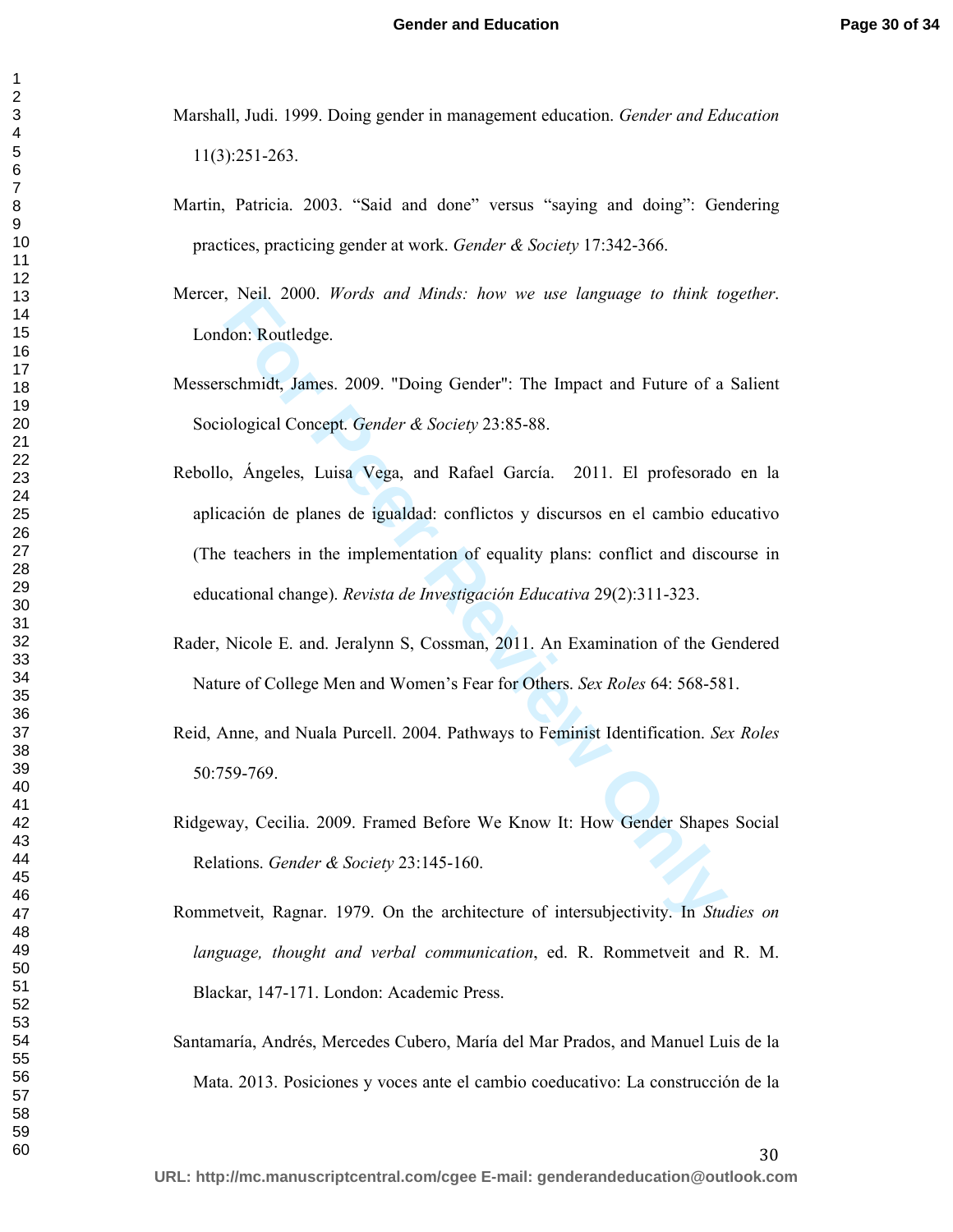Marshall, Judi. 1999. Doing gender in management education. *Gender and Education*  11(3):251-263.

- Martin, Patricia. 2003. "Said and done" versus "saying and doing": Gendering practices, practicing gender at work. *Gender & Society* 17:342-366.
- Mercer, Neil. 2000. *Words and Minds: how we use language to think together*. London: Routledge.
- Messerschmidt, James. 2009. "Doing Gender": The Impact and Future of a Salient Sociological Concept. *Gender & Society* 23:85-88.
- For Petra 2000. *Words and Minds: now we use tanguage to mink to*<br>don: Routledge.<br>**For Peer Review Only Conder'**: The Impact and Future of a<br>ological Concept. *Gender* & *Society* 23:85-88.<br>
2, Ángeles, Luisa Vega, and Raf Rebollo, Ángeles, Luisa Vega, and Rafael García. 2011. El profesorado en la aplicación de planes de igualdad: conflictos y discursos en el cambio educativo (The teachers in the implementation of equality plans: conflict and discourse in educational change). *Revista de Investigación Educativa* 29(2):311-323.
- Rader, Nicole E. and. Jeralynn S, Cossman, 2011. An Examination of the Gendered Nature of College Men and Women's Fear for Others. *Sex Roles* 64: 568-581.
- Reid, Anne, and Nuala Purcell. 2004. Pathways to Feminist Identification. *Sex Roles* 50:759-769.
- Ridgeway, Cecilia. 2009. Framed Before We Know It: How Gender Shapes Social Relations. *Gender & Society* 23:145-160.
- Rommetveit, Ragnar. 1979. On the architecture of intersubjectivity. In *Studies on language, thought and verbal communication*, ed. R. Rommetveit and R. M. Blackar, 147-171. London: Academic Press.
- Santamaría, Andrés, Mercedes Cubero, María del Mar Prados, and Manuel Luis de la Mata. 2013. Posiciones y voces ante el cambio coeducativo: La construcción de la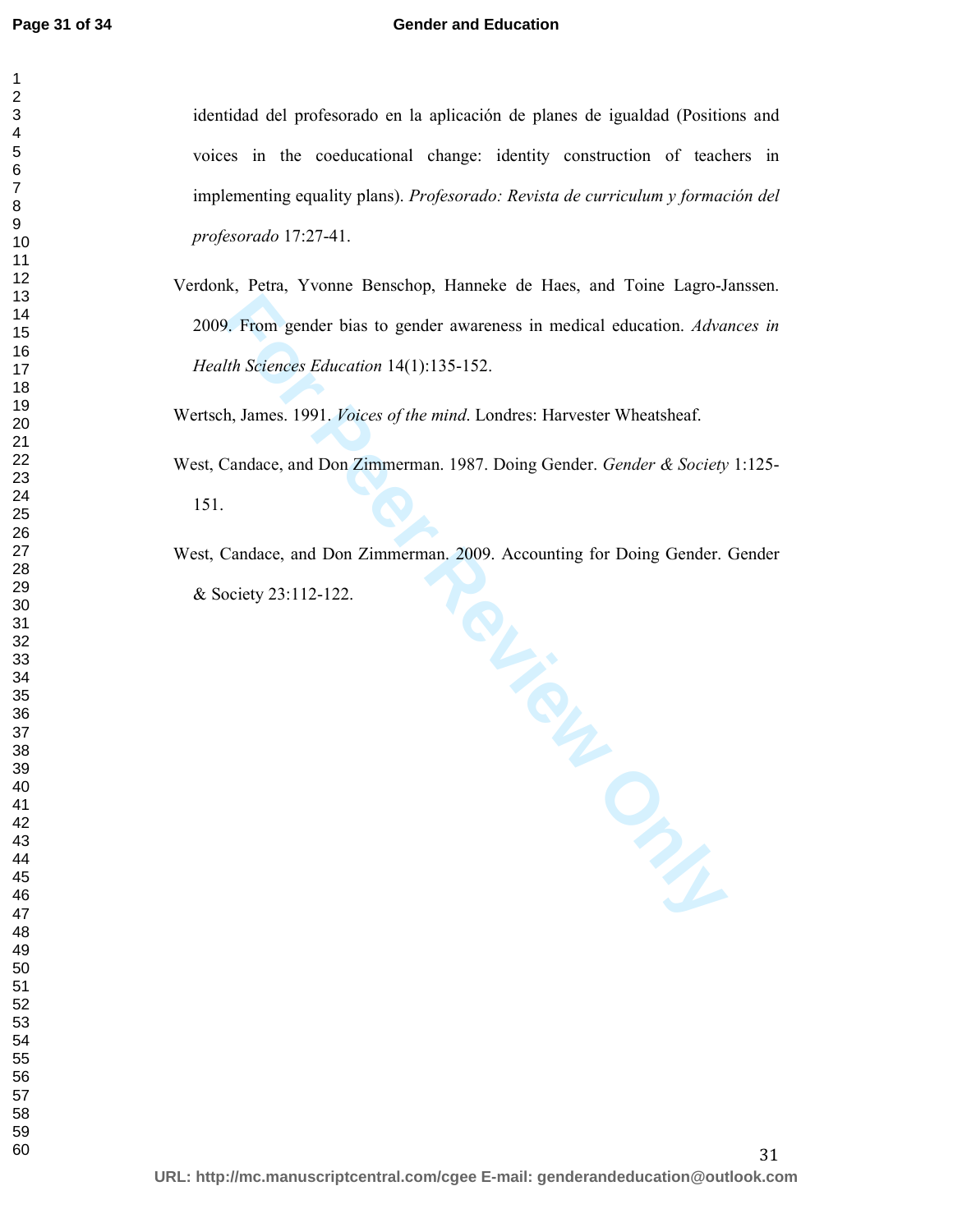#### **Gender and Education**

identidad del profesorado en la aplicación de planes de igualdad (Positions and voices in the coeducational change: identity construction of teachers in implementing equality plans). *Profesorado: Revista de curriculum y formación del profesorado* 17:27-41.

Verdonk, Petra, Yvonne Benschop, Hanneke de Haes, and Toine Lagro-Janssen. 2009. From gender bias to gender awareness in medical education. *Advances in Health Sciences Education* 14(1):135-152.

Wertsch, James. 1991. *Voices of the mind*. Londres: Harvester Wheatsheaf.

West, Candace, and Don Zimmerman. 1987. Doing Gender. *Gender & Society* 1:125- 151.

Tour Putton West, Candace, and Don Zimmerman. 2009. Accounting for Doing Gender. Gender & Society 23:112-122.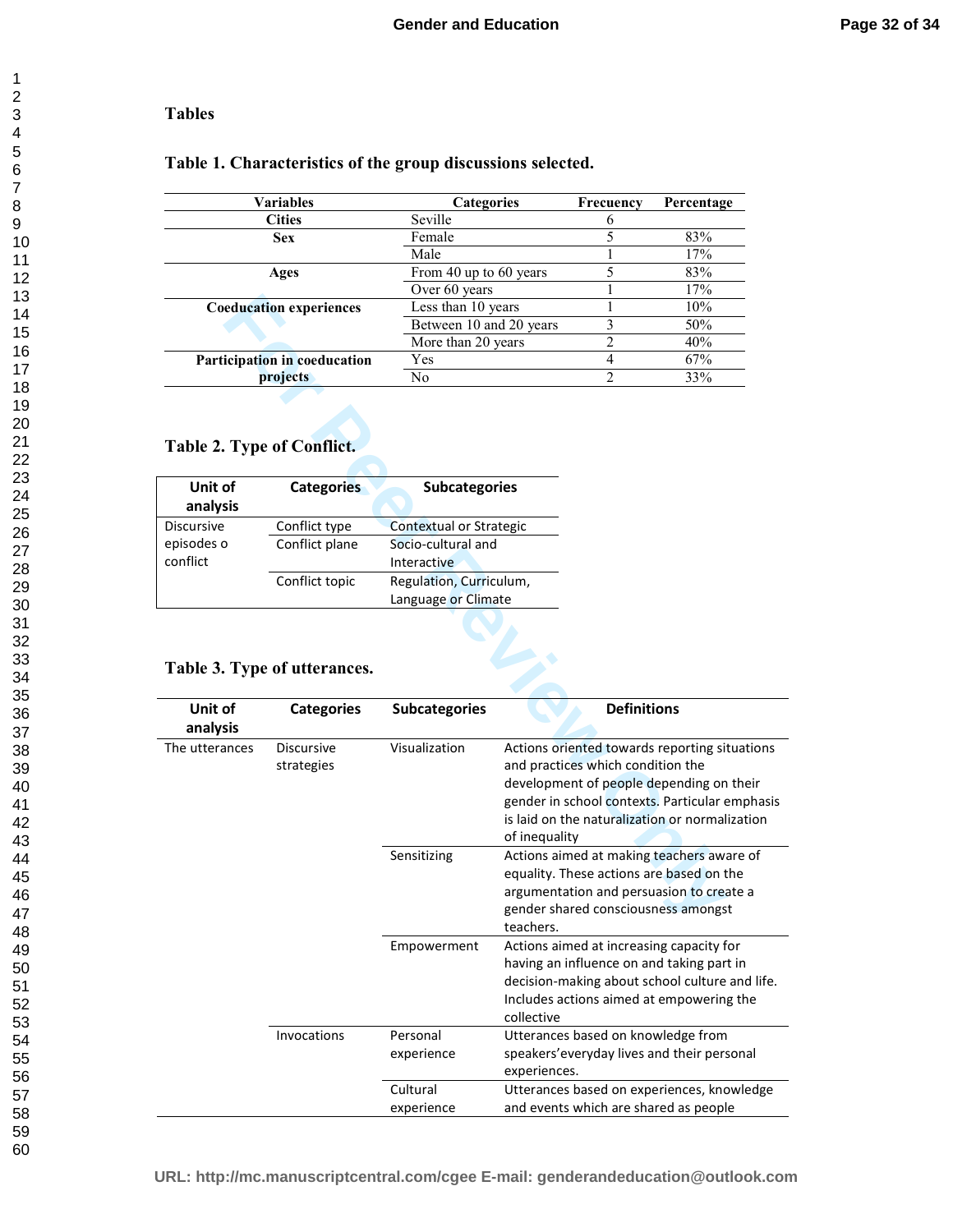#### **Tables**

#### **Table 1. Characteristics of the group discussions selected.**

| <b>Variables</b>               | <b>Categories</b>       | Frecuency | Percentage |
|--------------------------------|-------------------------|-----------|------------|
| <b>Cities</b>                  | Seville                 |           |            |
| <b>Sex</b>                     | Female                  |           | 83%        |
|                                | Male                    |           | 17%        |
| Ages                           | From 40 up to 60 years  |           | 83%        |
|                                | Over 60 years           |           | 17%        |
| <b>Coeducation experiences</b> | Less than 10 years      |           | 10%        |
|                                | Between 10 and 20 years |           | 50%        |
|                                | More than 20 years      |           | 40%        |
| Participation in coeducation   | Yes                     |           | 67%        |
| projects                       | No                      |           | 33%        |

# **Table 2. Type of Conflict.**

| Unit of<br>analysis | <b>Categories</b> | <b>Subcategories</b>    |  |
|---------------------|-------------------|-------------------------|--|
| <b>Discursive</b>   | Conflict type     | Contextual or Strategic |  |
| episodes o          | Conflict plane    | Socio-cultural and      |  |
| conflict            |                   | Interactive             |  |
|                     | Conflict topic    | Regulation, Curriculum, |  |
|                     |                   | Language or Climate     |  |

#### **Table 3. Type of utterances.**

|                                                                |                              |                         |                                                    |                    | 1, 7, 0                                                                                                                                      |
|----------------------------------------------------------------|------------------------------|-------------------------|----------------------------------------------------|--------------------|----------------------------------------------------------------------------------------------------------------------------------------------|
| <b>Coeducation experiences</b><br>Participation in coeducation |                              | Less than 10 years      |                                                    | 1                  | 10%                                                                                                                                          |
|                                                                |                              | Between 10 and 20 years |                                                    | 3                  | 50%                                                                                                                                          |
|                                                                |                              | More than 20 years      |                                                    | 2                  | 40%                                                                                                                                          |
|                                                                |                              | Yes                     |                                                    | $\overline{4}$     | 67%                                                                                                                                          |
|                                                                | projects                     | No                      |                                                    | $\overline{c}$     | 33%                                                                                                                                          |
| Table 2. Type of Conflict.                                     |                              |                         |                                                    |                    |                                                                                                                                              |
| Unit of                                                        | <b>Categories</b>            | <b>Subcategories</b>    |                                                    |                    |                                                                                                                                              |
| analysis                                                       |                              |                         |                                                    |                    |                                                                                                                                              |
| Discursive                                                     | Conflict type                | Contextual or Strategic |                                                    |                    |                                                                                                                                              |
| episodes o                                                     | Conflict plane               | Socio-cultural and      |                                                    |                    |                                                                                                                                              |
| conflict                                                       |                              | Interactive             |                                                    |                    |                                                                                                                                              |
|                                                                | Conflict topic               | Regulation, Curriculum, |                                                    |                    |                                                                                                                                              |
|                                                                |                              | Language or Climate     |                                                    |                    |                                                                                                                                              |
|                                                                |                              |                         |                                                    |                    |                                                                                                                                              |
|                                                                |                              |                         |                                                    |                    |                                                                                                                                              |
|                                                                | Table 3. Type of utterances. |                         |                                                    |                    |                                                                                                                                              |
| Unit of                                                        | <b>Categories</b>            | <b>Subcategories</b>    |                                                    | <b>Definitions</b> |                                                                                                                                              |
| analysis                                                       |                              |                         |                                                    |                    |                                                                                                                                              |
| The utterances                                                 | <b>Discursive</b>            | Visualization           |                                                    |                    | Actions oriented towards reporting situations                                                                                                |
|                                                                | strategies                   |                         | and practices which condition the<br>of inequality |                    | development of people depending on their<br>gender in school contexts. Particular emphasis<br>is laid on the naturalization or normalization |
|                                                                |                              | Sensitizing             |                                                    |                    | Actions aimed at making teachers aware of                                                                                                    |
|                                                                |                              |                         |                                                    |                    | equality. These actions are based on the                                                                                                     |
|                                                                |                              |                         |                                                    |                    | argumentation and persuasion to create a                                                                                                     |
|                                                                |                              |                         |                                                    |                    | gender shared consciousness amongst                                                                                                          |
|                                                                |                              |                         | teachers.                                          |                    |                                                                                                                                              |
|                                                                |                              | Empowerment             |                                                    |                    | Actions aimed at increasing capacity for                                                                                                     |
|                                                                |                              |                         |                                                    |                    | having an influence on and taking part in                                                                                                    |
|                                                                |                              |                         |                                                    |                    | decision-making about school culture and life.                                                                                               |
|                                                                |                              |                         |                                                    |                    | Includes actions aimed at empowering the                                                                                                     |
|                                                                |                              |                         | collective                                         |                    |                                                                                                                                              |
|                                                                |                              |                         |                                                    |                    |                                                                                                                                              |
|                                                                | Invocations                  | Personal                | Utterances based on knowledge from                 |                    |                                                                                                                                              |
|                                                                |                              | experience              | experiences.                                       |                    | speakers' every day lives and their personal                                                                                                 |
|                                                                |                              | Cultural                |                                                    |                    | Utterances based on experiences, knowledge                                                                                                   |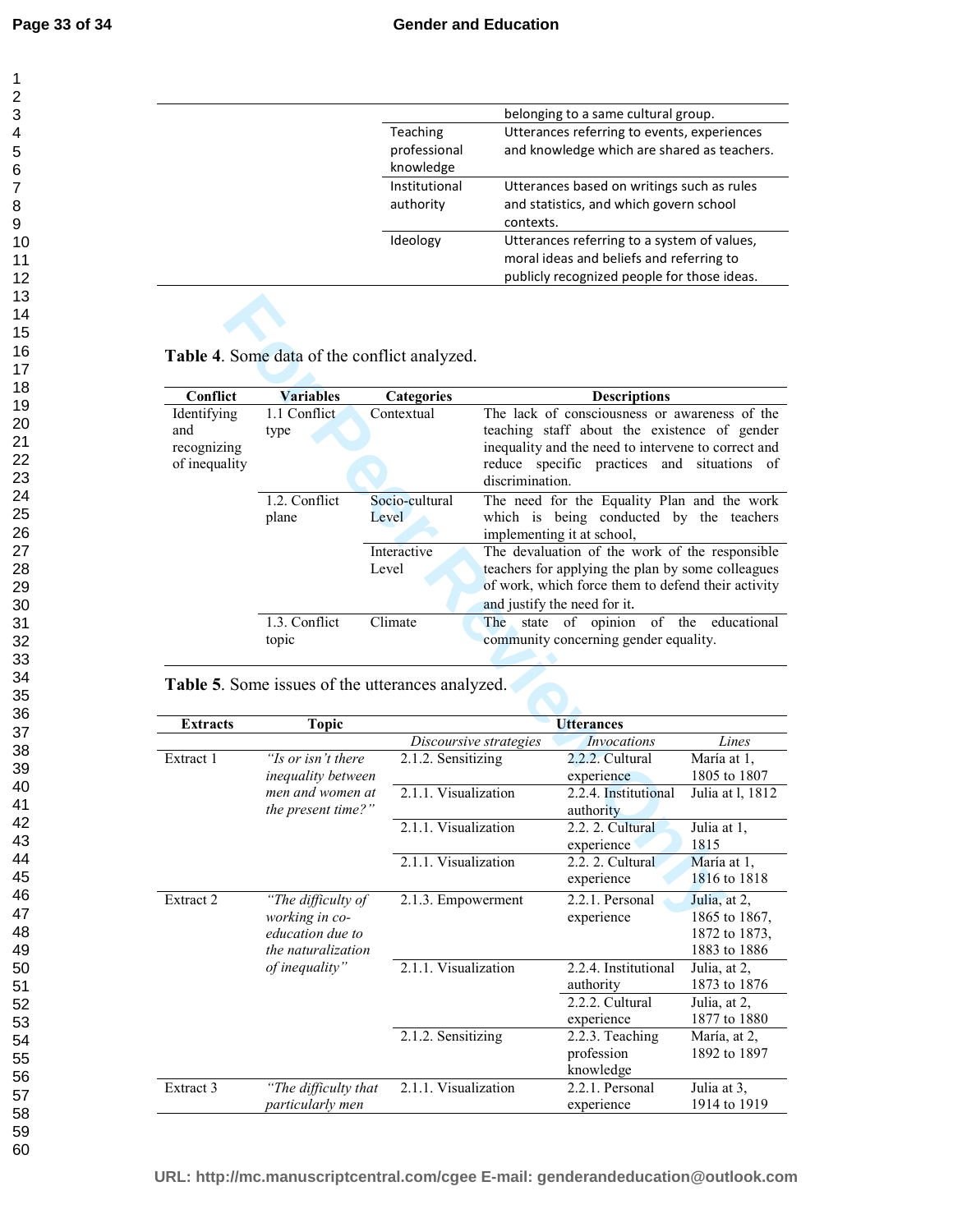|               | belonging to a same cultural group.         |
|---------------|---------------------------------------------|
| Teaching      | Utterances referring to events, experiences |
| professional  | and knowledge which are shared as teachers. |
| knowledge     |                                             |
| Institutional | Utterances based on writings such as rules  |
| authority     | and statistics, and which govern school     |
|               | contexts.                                   |
| Ideology      | Utterances referring to a system of values, |
|               | moral ideas and beliefs and referring to    |
|               | publicly recognized people for those ideas. |
|               |                                             |

## **Table 4**. Some data of the conflict analyzed.

|                                                    | Table 4. Some data of the conflict analyzed.     |                                  |                                                                                                                                                                                                                           |                                                                        |                               |  |
|----------------------------------------------------|--------------------------------------------------|----------------------------------|---------------------------------------------------------------------------------------------------------------------------------------------------------------------------------------------------------------------------|------------------------------------------------------------------------|-------------------------------|--|
|                                                    |                                                  |                                  |                                                                                                                                                                                                                           |                                                                        |                               |  |
| Conflict                                           | <b>Variables</b>                                 | <b>Categories</b>                |                                                                                                                                                                                                                           | <b>Descriptions</b>                                                    |                               |  |
| Identifying<br>and<br>recognizing<br>of inequality | 1.1 Conflict<br>type                             | Contextual                       | The lack of consciousness or awareness of the<br>teaching staff about the existence of gender<br>inequality and the need to intervene to correct and<br>reduce specific practices<br>and situations of<br>discrimination. |                                                                        |                               |  |
|                                                    | 1.2. Conflict                                    | Socio-cultural                   |                                                                                                                                                                                                                           | The need for the Equality Plan and the work                            |                               |  |
|                                                    | plane                                            | Level                            |                                                                                                                                                                                                                           | which is being conducted by the teachers<br>implementing it at school, |                               |  |
|                                                    |                                                  | Interactive<br>Level             | The devaluation of the work of the responsible<br>teachers for applying the plan by some colleagues<br>of work, which force them to defend their activity<br>and justify the need for it.                                 |                                                                        |                               |  |
|                                                    | 1.3. Conflict<br>topic                           | Climate                          | The<br>of opinion<br>of the<br>state<br>educational<br>community concerning gender equality.                                                                                                                              |                                                                        |                               |  |
|                                                    | Table 5. Some issues of the utterances analyzed. |                                  |                                                                                                                                                                                                                           |                                                                        |                               |  |
| <b>Extracts</b>                                    | <b>Topic</b>                                     |                                  |                                                                                                                                                                                                                           | <b>Utterances</b>                                                      |                               |  |
|                                                    |                                                  |                                  | Discoursive strategies                                                                                                                                                                                                    | <b>Invocations</b>                                                     | Lines                         |  |
| Extract 1                                          | "Is or isn't there                               | $\overline{2.1}$ .2. Sensitizing |                                                                                                                                                                                                                           | 2.2.2. Cultural                                                        | María at 1.                   |  |
|                                                    | inequality between                               |                                  |                                                                                                                                                                                                                           | experience                                                             | 1805 to 1807                  |  |
|                                                    | men and women at                                 | 2.1.1. Visualization             |                                                                                                                                                                                                                           | 2.2.4. Institutional                                                   | Julia at 1, 1812              |  |
|                                                    | the present time?"                               | authority                        |                                                                                                                                                                                                                           |                                                                        |                               |  |
|                                                    |                                                  | 2.1.1. Visualization             |                                                                                                                                                                                                                           | 2.2. 2. Cultural<br>experience                                         | Julia at 1,<br>1815           |  |
|                                                    |                                                  | 2.1.1. Visualization             |                                                                                                                                                                                                                           | 2.2.2. Cultural<br>experience                                          | María at 1,<br>1816 to 1818   |  |
| Extract 2                                          | "The difficulty of<br>working in co-             | 2.1.3. Empowerment               |                                                                                                                                                                                                                           | 2.2.1. Personal<br>experience                                          | Julia, at 2,<br>1865 to 1867, |  |

| Table 5. Some issues of the utterances analyzed. |  |  |
|--------------------------------------------------|--|--|

| <b>Extracts</b> | <b>Topic</b>                                                                   |                        | <b>Utterances</b>                          |                                                                |
|-----------------|--------------------------------------------------------------------------------|------------------------|--------------------------------------------|----------------------------------------------------------------|
|                 |                                                                                | Discoursive strategies | <i>Invocations</i>                         | Lines                                                          |
| Extract 1       | "Is or isn't there<br><i>inequality between</i>                                | 2.1.2. Sensitizing     | 2.2.2. Cultural<br>experience              | María at 1,<br>1805 to 1807                                    |
|                 | men and women at<br>the present time?"                                         | 2.1.1. Visualization   | 2.2.4. Institutional<br>authority          | Julia at 1, 1812                                               |
|                 |                                                                                | 2.1.1. Visualization   | 2.2. 2. Cultural<br>experience             | Julia at 1,<br>1815                                            |
|                 |                                                                                | 2.1.1. Visualization   | 2.2. 2. Cultural<br>experience             | María at 1,<br>1816 to 1818                                    |
| Extract 2       | "The difficulty of<br>working in co-<br>education due to<br>the naturalization | 2.1.3. Empowerment     | 2.2.1. Personal<br>experience              | Julia, at 2,<br>1865 to 1867,<br>1872 to 1873,<br>1883 to 1886 |
|                 | of inequality"                                                                 | 2.1.1. Visualization   | 2.2.4. Institutional<br>authority          | Julia, at 2,<br>1873 to 1876                                   |
|                 |                                                                                |                        | 2.2.2. Cultural<br>experience              | Julia, at 2,<br>1877 to 1880                                   |
|                 |                                                                                | 2.1.2. Sensitizing     | 2.2.3. Teaching<br>profession<br>knowledge | María, at 2,<br>1892 to 1897                                   |
| Extract 3       | "The difficulty that<br>particularly men                                       | 2.1.1. Visualization   | 2.2.1. Personal<br>experience              | Julia at 3,<br>1914 to 1919                                    |